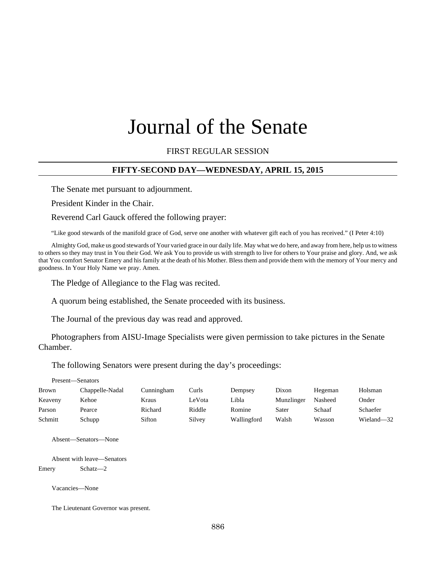# Journal of the Senate

## FIRST REGULAR SESSION

### **FIFTY-SECOND DAY—WEDNESDAY, APRIL 15, 2015**

The Senate met pursuant to adjournment.

President Kinder in the Chair.

Reverend Carl Gauck offered the following prayer:

"Like good stewards of the manifold grace of God, serve one another with whatever gift each of you has received." (I Peter 4:10)

Almighty God, make us good stewards of Your varied grace in our daily life. May what we do here, and away from here, help us to witness to others so they may trust in You their God. We ask You to provide us with strength to live for others to Your praise and glory. And, we ask that You comfort Senator Emery and his family at the death of his Mother. Bless them and provide them with the memory of Your mercy and goodness. In Your Holy Name we pray. Amen.

The Pledge of Allegiance to the Flag was recited.

A quorum being established, the Senate proceeded with its business.

The Journal of the previous day was read and approved.

Photographers from AISU-Image Specialists were given permission to take pictures in the Senate Chamber.

The following Senators were present during the day's proceedings:

| Present—Senators |                 |            |        |             |            |         |            |
|------------------|-----------------|------------|--------|-------------|------------|---------|------------|
| Brown            | Chappelle-Nadal | Cunningham | Curls  | Dempsey     | Dixon      | Hegeman | Holsman    |
| Keaveny          | Kehoe           | Kraus      | LeVota | Libla       | Munzlinger | Nasheed | Onder      |
| Parson           | Pearce          | Richard    | Riddle | Romine      | Sater      | Schaaf  | Schaefer   |
| Schmitt          | Schupp          | Sifton     | Silvey | Wallingford | Walsh      | Wasson  | Wieland-32 |

Absent—Senators—None

Absent with leave—Senators Emery Schatz—2

Vacancies—None

The Lieutenant Governor was present.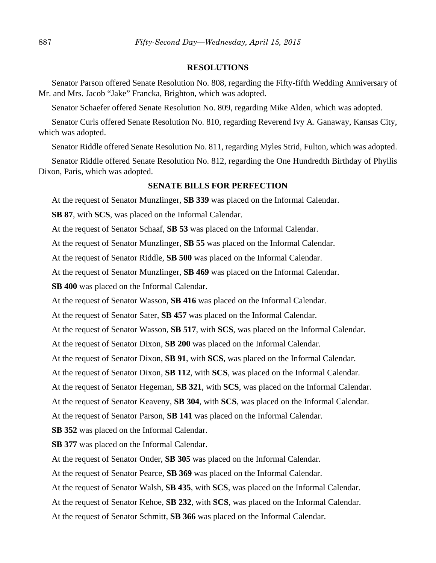#### **RESOLUTIONS**

Senator Parson offered Senate Resolution No. 808, regarding the Fifty-fifth Wedding Anniversary of Mr. and Mrs. Jacob "Jake" Francka, Brighton, which was adopted.

Senator Schaefer offered Senate Resolution No. 809, regarding Mike Alden, which was adopted.

Senator Curls offered Senate Resolution No. 810, regarding Reverend Ivy A. Ganaway, Kansas City, which was adopted.

Senator Riddle offered Senate Resolution No. 811, regarding Myles Strid, Fulton, which was adopted.

Senator Riddle offered Senate Resolution No. 812, regarding the One Hundredth Birthday of Phyllis Dixon, Paris, which was adopted.

## **SENATE BILLS FOR PERFECTION**

At the request of Senator Munzlinger, **SB 339** was placed on the Informal Calendar.

**SB 87**, with **SCS**, was placed on the Informal Calendar.

At the request of Senator Schaaf, **SB 53** was placed on the Informal Calendar.

At the request of Senator Munzlinger, **SB 55** was placed on the Informal Calendar.

At the request of Senator Riddle, **SB 500** was placed on the Informal Calendar.

At the request of Senator Munzlinger, **SB 469** was placed on the Informal Calendar.

**SB 400** was placed on the Informal Calendar.

At the request of Senator Wasson, **SB 416** was placed on the Informal Calendar.

At the request of Senator Sater, **SB 457** was placed on the Informal Calendar.

At the request of Senator Wasson, **SB 517**, with **SCS**, was placed on the Informal Calendar.

At the request of Senator Dixon, **SB 200** was placed on the Informal Calendar.

At the request of Senator Dixon, **SB 91**, with **SCS**, was placed on the Informal Calendar.

At the request of Senator Dixon, **SB 112**, with **SCS**, was placed on the Informal Calendar.

At the request of Senator Hegeman, **SB 321**, with **SCS**, was placed on the Informal Calendar.

At the request of Senator Keaveny, **SB 304**, with **SCS**, was placed on the Informal Calendar.

At the request of Senator Parson, **SB 141** was placed on the Informal Calendar.

**SB 352** was placed on the Informal Calendar.

**SB 377** was placed on the Informal Calendar.

At the request of Senator Onder, **SB 305** was placed on the Informal Calendar.

At the request of Senator Pearce, **SB 369** was placed on the Informal Calendar.

At the request of Senator Walsh, **SB 435**, with **SCS**, was placed on the Informal Calendar.

At the request of Senator Kehoe, **SB 232**, with **SCS**, was placed on the Informal Calendar.

At the request of Senator Schmitt, **SB 366** was placed on the Informal Calendar.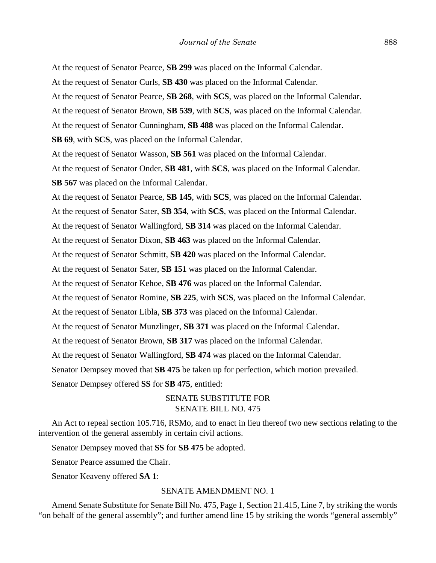At the request of Senator Pearce, **SB 299** was placed on the Informal Calendar. At the request of Senator Curls, **SB 430** was placed on the Informal Calendar. At the request of Senator Pearce, **SB 268**, with **SCS**, was placed on the Informal Calendar. At the request of Senator Brown, **SB 539**, with **SCS**, was placed on the Informal Calendar. At the request of Senator Cunningham, **SB 488** was placed on the Informal Calendar. **SB 69**, with **SCS**, was placed on the Informal Calendar. At the request of Senator Wasson, **SB 561** was placed on the Informal Calendar. At the request of Senator Onder, **SB 481**, with **SCS**, was placed on the Informal Calendar. **SB 567** was placed on the Informal Calendar. At the request of Senator Pearce, **SB 145**, with **SCS**, was placed on the Informal Calendar. At the request of Senator Sater, **SB 354**, with **SCS**, was placed on the Informal Calendar. At the request of Senator Wallingford, **SB 314** was placed on the Informal Calendar. At the request of Senator Dixon, **SB 463** was placed on the Informal Calendar. At the request of Senator Schmitt, **SB 420** was placed on the Informal Calendar. At the request of Senator Sater, **SB 151** was placed on the Informal Calendar. At the request of Senator Kehoe, **SB 476** was placed on the Informal Calendar. At the request of Senator Romine, **SB 225**, with **SCS**, was placed on the Informal Calendar. At the request of Senator Libla, **SB 373** was placed on the Informal Calendar. At the request of Senator Munzlinger, **SB 371** was placed on the Informal Calendar. At the request of Senator Brown, **SB 317** was placed on the Informal Calendar. At the request of Senator Wallingford, **SB 474** was placed on the Informal Calendar. Senator Dempsey moved that **SB 475** be taken up for perfection, which motion prevailed. Senator Dempsey offered **SS** for **SB 475**, entitled:

## SENATE SUBSTITUTE FOR SENATE BILL NO. 475

An Act to repeal section 105.716, RSMo, and to enact in lieu thereof two new sections relating to the intervention of the general assembly in certain civil actions.

Senator Dempsey moved that **SS** for **SB 475** be adopted.

Senator Pearce assumed the Chair.

Senator Keaveny offered **SA 1**:

## SENATE AMENDMENT NO. 1

Amend Senate Substitute for Senate Bill No. 475, Page 1, Section 21.415, Line 7, by striking the words "on behalf of the general assembly"; and further amend line 15 by striking the words "general assembly"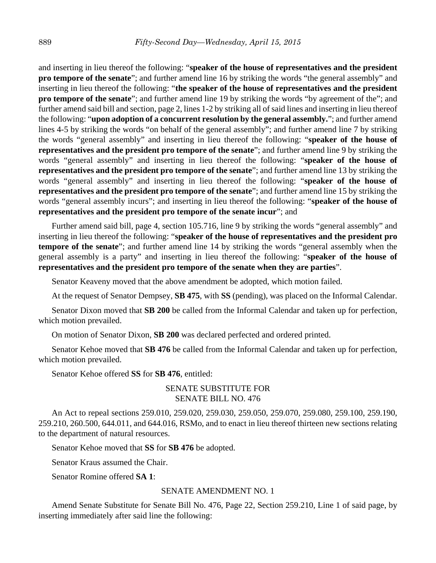and inserting in lieu thereof the following: "**speaker of the house of representatives and the president pro tempore of the senate**"; and further amend line 16 by striking the words "the general assembly" and inserting in lieu thereof the following: "**the speaker of the house of representatives and the president pro tempore of the senate**"; and further amend line 19 by striking the words "by agreement of the"; and further amend said bill and section, page 2, lines 1-2 by striking all of said lines and inserting in lieu thereof the following: "**upon adoption of a concurrent resolution by the general assembly.**"; and further amend lines 4-5 by striking the words "on behalf of the general assembly"; and further amend line 7 by striking the words "general assembly" and inserting in lieu thereof the following: "**speaker of the house of representatives and the president pro tempore of the senate**"; and further amend line 9 by striking the words "general assembly" and inserting in lieu thereof the following: "**speaker of the house of representatives and the president pro tempore of the senate**"; and further amend line 13 by striking the words "general assembly" and inserting in lieu thereof the following: "**speaker of the house of representatives and the president pro tempore of the senate**"; and further amend line 15 by striking the words "general assembly incurs"; and inserting in lieu thereof the following: "**speaker of the house of representatives and the president pro tempore of the senate incur**"; and

Further amend said bill, page 4, section 105.716, line 9 by striking the words "general assembly" and inserting in lieu thereof the following: "**speaker of the house of representatives and the president pro tempore of the senate**"; and further amend line 14 by striking the words "general assembly when the general assembly is a party" and inserting in lieu thereof the following: "**speaker of the house of representatives and the president pro tempore of the senate when they are parties**".

Senator Keaveny moved that the above amendment be adopted, which motion failed.

At the request of Senator Dempsey, **SB 475**, with **SS** (pending), was placed on the Informal Calendar.

Senator Dixon moved that **SB 200** be called from the Informal Calendar and taken up for perfection, which motion prevailed.

On motion of Senator Dixon, **SB 200** was declared perfected and ordered printed.

Senator Kehoe moved that **SB 476** be called from the Informal Calendar and taken up for perfection, which motion prevailed.

Senator Kehoe offered **SS** for **SB 476**, entitled:

## SENATE SUBSTITUTE FOR SENATE BILL NO. 476

An Act to repeal sections 259.010, 259.020, 259.030, 259.050, 259.070, 259.080, 259.100, 259.190, 259.210, 260.500, 644.011, and 644.016, RSMo, and to enact in lieu thereof thirteen new sections relating to the department of natural resources.

Senator Kehoe moved that **SS** for **SB 476** be adopted.

Senator Kraus assumed the Chair.

Senator Romine offered **SA 1**:

#### SENATE AMENDMENT NO. 1

Amend Senate Substitute for Senate Bill No. 476, Page 22, Section 259.210, Line 1 of said page, by inserting immediately after said line the following: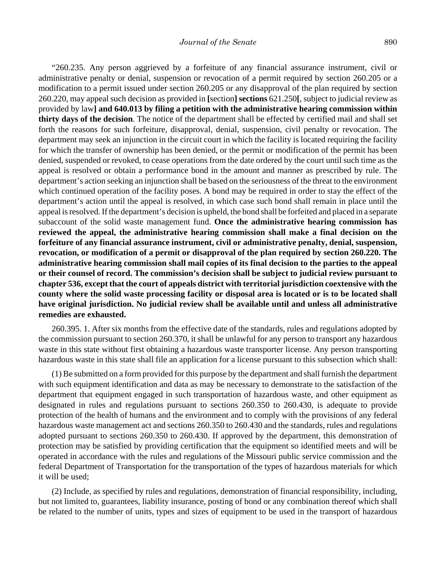"260.235. Any person aggrieved by a forfeiture of any financial assurance instrument, civil or administrative penalty or denial, suspension or revocation of a permit required by section 260.205 or a modification to a permit issued under section 260.205 or any disapproval of the plan required by section 260.220, may appeal such decision as provided in **[**section**] sections** 621.250**[**, subject to judicial review as provided by law**] and 640.013 by filing a petition with the administrative hearing commission within thirty days of the decision**. The notice of the department shall be effected by certified mail and shall set forth the reasons for such forfeiture, disapproval, denial, suspension, civil penalty or revocation. The department may seek an injunction in the circuit court in which the facility is located requiring the facility for which the transfer of ownership has been denied, or the permit or modification of the permit has been denied, suspended or revoked, to cease operations from the date ordered by the court until such time as the appeal is resolved or obtain a performance bond in the amount and manner as prescribed by rule. The department's action seeking an injunction shall be based on the seriousness of the threat to the environment which continued operation of the facility poses. A bond may be required in order to stay the effect of the department's action until the appeal is resolved, in which case such bond shall remain in place until the appeal is resolved. If the department's decision is upheld, the bond shall be forfeited and placed in a separate subaccount of the solid waste management fund. **Once the administrative hearing commission has reviewed the appeal, the administrative hearing commission shall make a final decision on the forfeiture of any financial assurance instrument, civil or administrative penalty, denial, suspension, revocation, or modification of a permit or disapproval of the plan required by section 260.220. The administrative hearing commission shall mail copies of its final decision to the parties to the appeal or their counsel of record. The commission's decision shall be subject to judicial review pursuant to chapter 536, except that the court of appeals district with territorial jurisdiction coextensive with the county where the solid waste processing facility or disposal area is located or is to be located shall have original jurisdiction. No judicial review shall be available until and unless all administrative remedies are exhausted.**

260.395. 1. After six months from the effective date of the standards, rules and regulations adopted by the commission pursuant to section 260.370, it shall be unlawful for any person to transport any hazardous waste in this state without first obtaining a hazardous waste transporter license. Any person transporting hazardous waste in this state shall file an application for a license pursuant to this subsection which shall:

(1) Be submitted on a form provided for this purpose by the department and shall furnish the department with such equipment identification and data as may be necessary to demonstrate to the satisfaction of the department that equipment engaged in such transportation of hazardous waste, and other equipment as designated in rules and regulations pursuant to sections 260.350 to 260.430, is adequate to provide protection of the health of humans and the environment and to comply with the provisions of any federal hazardous waste management act and sections 260.350 to 260.430 and the standards, rules and regulations adopted pursuant to sections 260.350 to 260.430. If approved by the department, this demonstration of protection may be satisfied by providing certification that the equipment so identified meets and will be operated in accordance with the rules and regulations of the Missouri public service commission and the federal Department of Transportation for the transportation of the types of hazardous materials for which it will be used;

(2) Include, as specified by rules and regulations, demonstration of financial responsibility, including, but not limited to, guarantees, liability insurance, posting of bond or any combination thereof which shall be related to the number of units, types and sizes of equipment to be used in the transport of hazardous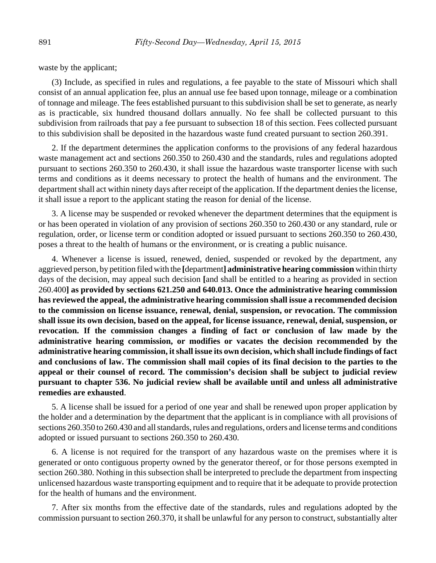waste by the applicant;

(3) Include, as specified in rules and regulations, a fee payable to the state of Missouri which shall consist of an annual application fee, plus an annual use fee based upon tonnage, mileage or a combination of tonnage and mileage. The fees established pursuant to this subdivision shall be set to generate, as nearly as is practicable, six hundred thousand dollars annually. No fee shall be collected pursuant to this subdivision from railroads that pay a fee pursuant to subsection 18 of this section. Fees collected pursuant to this subdivision shall be deposited in the hazardous waste fund created pursuant to section 260.391.

2. If the department determines the application conforms to the provisions of any federal hazardous waste management act and sections 260.350 to 260.430 and the standards, rules and regulations adopted pursuant to sections 260.350 to 260.430, it shall issue the hazardous waste transporter license with such terms and conditions as it deems necessary to protect the health of humans and the environment. The department shall act within ninety days after receipt of the application. If the department denies the license, it shall issue a report to the applicant stating the reason for denial of the license.

3. A license may be suspended or revoked whenever the department determines that the equipment is or has been operated in violation of any provision of sections 260.350 to 260.430 or any standard, rule or regulation, order, or license term or condition adopted or issued pursuant to sections 260.350 to 260.430, poses a threat to the health of humans or the environment, or is creating a public nuisance.

4. Whenever a license is issued, renewed, denied, suspended or revoked by the department, any aggrieved person, by petition filed with the **[**department**] administrative hearing commission** within thirty days of the decision, may appeal such decision **[**and shall be entitled to a hearing as provided in section 260.400**] as provided by sections 621.250 and 640.013. Once the administrative hearing commission has reviewed the appeal, the administrative hearing commission shall issue a recommended decision to the commission on license issuance, renewal, denial, suspension, or revocation. The commission shall issue its own decision, based on the appeal, for license issuance, renewal, denial, suspension, or revocation. If the commission changes a finding of fact or conclusion of law made by the administrative hearing commission, or modifies or vacates the decision recommended by the administrative hearing commission, it shall issue its own decision, which shall include findings of fact and conclusions of law. The commission shall mail copies of its final decision to the parties to the appeal or their counsel of record. The commission's decision shall be subject to judicial review pursuant to chapter 536. No judicial review shall be available until and unless all administrative remedies are exhausted**.

5. A license shall be issued for a period of one year and shall be renewed upon proper application by the holder and a determination by the department that the applicant is in compliance with all provisions of sections 260.350 to 260.430 and all standards, rules and regulations, orders and license terms and conditions adopted or issued pursuant to sections 260.350 to 260.430.

6. A license is not required for the transport of any hazardous waste on the premises where it is generated or onto contiguous property owned by the generator thereof, or for those persons exempted in section 260.380. Nothing in this subsection shall be interpreted to preclude the department from inspecting unlicensed hazardous waste transporting equipment and to require that it be adequate to provide protection for the health of humans and the environment.

7. After six months from the effective date of the standards, rules and regulations adopted by the commission pursuant to section 260.370, it shall be unlawful for any person to construct, substantially alter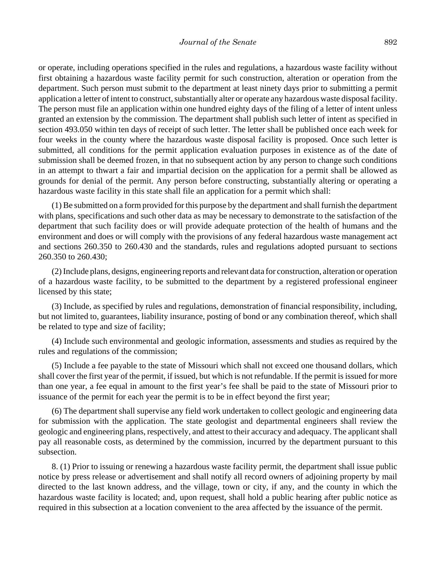or operate, including operations specified in the rules and regulations, a hazardous waste facility without first obtaining a hazardous waste facility permit for such construction, alteration or operation from the department. Such person must submit to the department at least ninety days prior to submitting a permit application a letter of intent to construct, substantially alter or operate any hazardous waste disposal facility. The person must file an application within one hundred eighty days of the filing of a letter of intent unless granted an extension by the commission. The department shall publish such letter of intent as specified in section 493.050 within ten days of receipt of such letter. The letter shall be published once each week for four weeks in the county where the hazardous waste disposal facility is proposed. Once such letter is submitted, all conditions for the permit application evaluation purposes in existence as of the date of submission shall be deemed frozen, in that no subsequent action by any person to change such conditions in an attempt to thwart a fair and impartial decision on the application for a permit shall be allowed as grounds for denial of the permit. Any person before constructing, substantially altering or operating a hazardous waste facility in this state shall file an application for a permit which shall:

(1) Be submitted on a form provided for this purpose by the department and shall furnish the department with plans, specifications and such other data as may be necessary to demonstrate to the satisfaction of the department that such facility does or will provide adequate protection of the health of humans and the environment and does or will comply with the provisions of any federal hazardous waste management act and sections 260.350 to 260.430 and the standards, rules and regulations adopted pursuant to sections 260.350 to 260.430;

(2) Include plans, designs, engineering reports and relevant data for construction, alteration or operation of a hazardous waste facility, to be submitted to the department by a registered professional engineer licensed by this state;

(3) Include, as specified by rules and regulations, demonstration of financial responsibility, including, but not limited to, guarantees, liability insurance, posting of bond or any combination thereof, which shall be related to type and size of facility;

(4) Include such environmental and geologic information, assessments and studies as required by the rules and regulations of the commission;

(5) Include a fee payable to the state of Missouri which shall not exceed one thousand dollars, which shall cover the first year of the permit, if issued, but which is not refundable. If the permit is issued for more than one year, a fee equal in amount to the first year's fee shall be paid to the state of Missouri prior to issuance of the permit for each year the permit is to be in effect beyond the first year;

(6) The department shall supervise any field work undertaken to collect geologic and engineering data for submission with the application. The state geologist and departmental engineers shall review the geologic and engineering plans, respectively, and attest to their accuracy and adequacy. The applicant shall pay all reasonable costs, as determined by the commission, incurred by the department pursuant to this subsection.

8. (1) Prior to issuing or renewing a hazardous waste facility permit, the department shall issue public notice by press release or advertisement and shall notify all record owners of adjoining property by mail directed to the last known address, and the village, town or city, if any, and the county in which the hazardous waste facility is located; and, upon request, shall hold a public hearing after public notice as required in this subsection at a location convenient to the area affected by the issuance of the permit.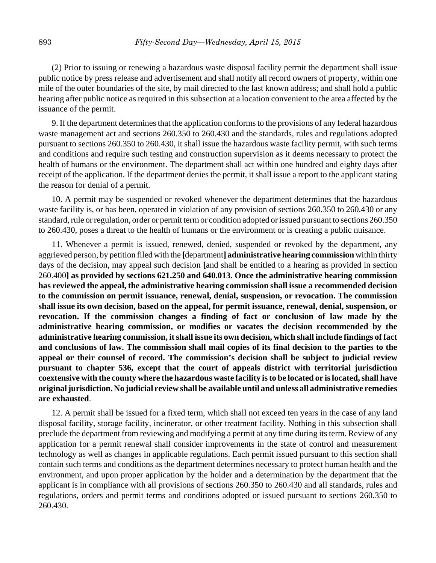(2) Prior to issuing or renewing a hazardous waste disposal facility permit the department shall issue public notice by press release and advertisement and shall notify all record owners of property, within one mile of the outer boundaries of the site, by mail directed to the last known address; and shall hold a public hearing after public notice as required in this subsection at a location convenient to the area affected by the issuance of the permit.

9. If the department determines that the application conforms to the provisions of any federal hazardous waste management act and sections 260.350 to 260.430 and the standards, rules and regulations adopted pursuant to sections 260.350 to 260.430, it shall issue the hazardous waste facility permit, with such terms and conditions and require such testing and construction supervision as it deems necessary to protect the health of humans or the environment. The department shall act within one hundred and eighty days after receipt of the application. If the department denies the permit, it shall issue a report to the applicant stating the reason for denial of a permit.

10. A permit may be suspended or revoked whenever the department determines that the hazardous waste facility is, or has been, operated in violation of any provision of sections 260.350 to 260.430 or any standard, rule or regulation, order or permit term or condition adopted or issued pursuant to sections 260.350 to 260.430, poses a threat to the health of humans or the environment or is creating a public nuisance.

11. Whenever a permit is issued, renewed, denied, suspended or revoked by the department, any aggrieved person, by petition filed with the **[**department**] administrative hearing commission** within thirty days of the decision, may appeal such decision **[**and shall be entitled to a hearing as provided in section 260.400**] as provided by sections 621.250 and 640.013. Once the administrative hearing commission has reviewed the appeal, the administrative hearing commission shall issue a recommended decision to the commission on permit issuance, renewal, denial, suspension, or revocation. The commission shall issue its own decision, based on the appeal, for permit issuance, renewal, denial, suspension, or revocation. If the commission changes a finding of fact or conclusion of law made by the administrative hearing commission, or modifies or vacates the decision recommended by the administrative hearing commission, it shall issue its own decision, which shall include findings of fact and conclusions of law. The commission shall mail copies of its final decision to the parties to the appeal or their counsel of record. The commission's decision shall be subject to judicial review pursuant to chapter 536, except that the court of appeals district with territorial jurisdiction coextensive with the county where the hazardous waste facility is to be located or is located, shall have original jurisdiction. No judicial review shall be available until and unless all administrative remedies are exhausted**.

12. A permit shall be issued for a fixed term, which shall not exceed ten years in the case of any land disposal facility, storage facility, incinerator, or other treatment facility. Nothing in this subsection shall preclude the department from reviewing and modifying a permit at any time during its term. Review of any application for a permit renewal shall consider improvements in the state of control and measurement technology as well as changes in applicable regulations. Each permit issued pursuant to this section shall contain such terms and conditions as the department determines necessary to protect human health and the environment, and upon proper application by the holder and a determination by the department that the applicant is in compliance with all provisions of sections 260.350 to 260.430 and all standards, rules and regulations, orders and permit terms and conditions adopted or issued pursuant to sections 260.350 to 260.430.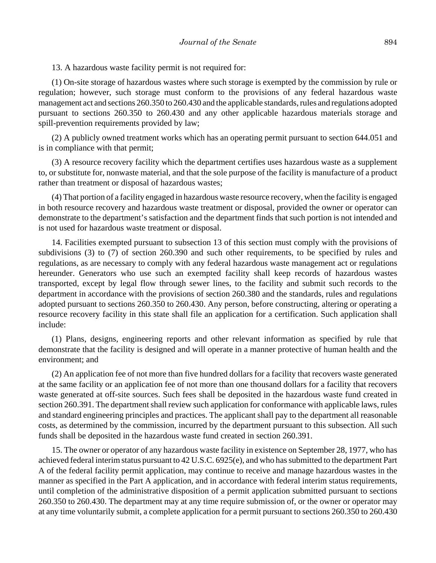13. A hazardous waste facility permit is not required for:

(1) On-site storage of hazardous wastes where such storage is exempted by the commission by rule or regulation; however, such storage must conform to the provisions of any federal hazardous waste management act and sections 260.350 to 260.430 and the applicable standards, rules and regulations adopted pursuant to sections 260.350 to 260.430 and any other applicable hazardous materials storage and spill-prevention requirements provided by law;

(2) A publicly owned treatment works which has an operating permit pursuant to section 644.051 and is in compliance with that permit;

(3) A resource recovery facility which the department certifies uses hazardous waste as a supplement to, or substitute for, nonwaste material, and that the sole purpose of the facility is manufacture of a product rather than treatment or disposal of hazardous wastes;

(4) That portion of a facility engaged in hazardous waste resource recovery, when the facility is engaged in both resource recovery and hazardous waste treatment or disposal, provided the owner or operator can demonstrate to the department's satisfaction and the department finds that such portion is not intended and is not used for hazardous waste treatment or disposal.

14. Facilities exempted pursuant to subsection 13 of this section must comply with the provisions of subdivisions (3) to (7) of section 260.390 and such other requirements, to be specified by rules and regulations, as are necessary to comply with any federal hazardous waste management act or regulations hereunder. Generators who use such an exempted facility shall keep records of hazardous wastes transported, except by legal flow through sewer lines, to the facility and submit such records to the department in accordance with the provisions of section 260.380 and the standards, rules and regulations adopted pursuant to sections 260.350 to 260.430. Any person, before constructing, altering or operating a resource recovery facility in this state shall file an application for a certification. Such application shall include:

(1) Plans, designs, engineering reports and other relevant information as specified by rule that demonstrate that the facility is designed and will operate in a manner protective of human health and the environment; and

(2) An application fee of not more than five hundred dollars for a facility that recovers waste generated at the same facility or an application fee of not more than one thousand dollars for a facility that recovers waste generated at off-site sources. Such fees shall be deposited in the hazardous waste fund created in section 260.391. The department shall review such application for conformance with applicable laws, rules and standard engineering principles and practices. The applicant shall pay to the department all reasonable costs, as determined by the commission, incurred by the department pursuant to this subsection. All such funds shall be deposited in the hazardous waste fund created in section 260.391.

15. The owner or operator of any hazardous waste facility in existence on September 28, 1977, who has achieved federal interim status pursuant to 42 U.S.C. 6925(e), and who has submitted to the department Part A of the federal facility permit application, may continue to receive and manage hazardous wastes in the manner as specified in the Part A application, and in accordance with federal interim status requirements, until completion of the administrative disposition of a permit application submitted pursuant to sections 260.350 to 260.430. The department may at any time require submission of, or the owner or operator may at any time voluntarily submit, a complete application for a permit pursuant to sections 260.350 to 260.430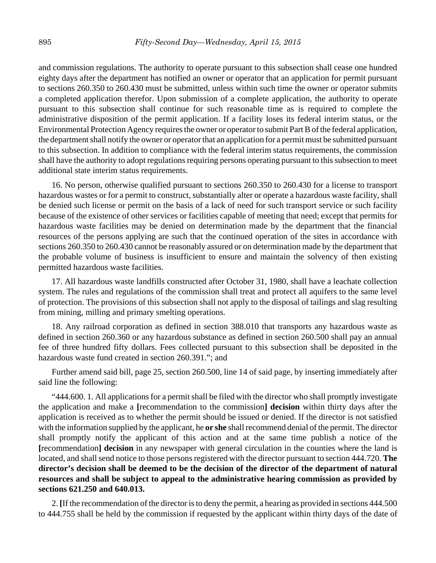and commission regulations. The authority to operate pursuant to this subsection shall cease one hundred eighty days after the department has notified an owner or operator that an application for permit pursuant to sections 260.350 to 260.430 must be submitted, unless within such time the owner or operator submits a completed application therefor. Upon submission of a complete application, the authority to operate pursuant to this subsection shall continue for such reasonable time as is required to complete the administrative disposition of the permit application. If a facility loses its federal interim status, or the Environmental Protection Agency requires the owner or operator to submit Part B of the federal application, the department shall notify the owner or operator that an application for a permit must be submitted pursuant to this subsection. In addition to compliance with the federal interim status requirements, the commission shall have the authority to adopt regulations requiring persons operating pursuant to this subsection to meet additional state interim status requirements.

16. No person, otherwise qualified pursuant to sections 260.350 to 260.430 for a license to transport hazardous wastes or for a permit to construct, substantially alter or operate a hazardous waste facility, shall be denied such license or permit on the basis of a lack of need for such transport service or such facility because of the existence of other services or facilities capable of meeting that need; except that permits for hazardous waste facilities may be denied on determination made by the department that the financial resources of the persons applying are such that the continued operation of the sites in accordance with sections 260.350 to 260.430 cannot be reasonably assured or on determination made by the department that the probable volume of business is insufficient to ensure and maintain the solvency of then existing permitted hazardous waste facilities.

17. All hazardous waste landfills constructed after October 31, 1980, shall have a leachate collection system. The rules and regulations of the commission shall treat and protect all aquifers to the same level of protection. The provisions of this subsection shall not apply to the disposal of tailings and slag resulting from mining, milling and primary smelting operations.

18. Any railroad corporation as defined in section 388.010 that transports any hazardous waste as defined in section 260.360 or any hazardous substance as defined in section 260.500 shall pay an annual fee of three hundred fifty dollars. Fees collected pursuant to this subsection shall be deposited in the hazardous waste fund created in section 260.391."; and

Further amend said bill, page 25, section 260.500, line 14 of said page, by inserting immediately after said line the following:

"444.600. 1. All applications for a permit shall be filed with the director who shall promptly investigate the application and make a **[**recommendation to the commission**] decision** within thirty days after the application is received as to whether the permit should be issued or denied. If the director is not satisfied with the information supplied by the applicant, he **or she** shall recommend denial of the permit. The director shall promptly notify the applicant of this action and at the same time publish a notice of the **[**recommendation**] decision** in any newspaper with general circulation in the counties where the land is located, and shall send notice to those persons registered with the director pursuant to section 444.720. **The director's decision shall be deemed to be the decision of the director of the department of natural resources and shall be subject to appeal to the administrative hearing commission as provided by sections 621.250 and 640.013.**

2. **[**If the recommendation of the director is to deny the permit, a hearing as provided in sections 444.500 to 444.755 shall be held by the commission if requested by the applicant within thirty days of the date of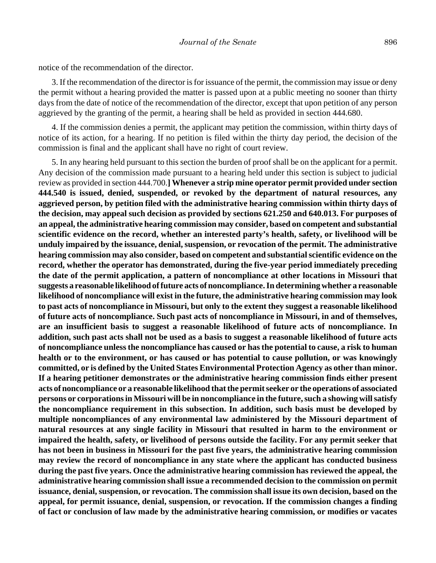notice of the recommendation of the director.

3. If the recommendation of the director is for issuance of the permit, the commission may issue or deny the permit without a hearing provided the matter is passed upon at a public meeting no sooner than thirty days from the date of notice of the recommendation of the director, except that upon petition of any person aggrieved by the granting of the permit, a hearing shall be held as provided in section 444.680.

4. If the commission denies a permit, the applicant may petition the commission, within thirty days of notice of its action, for a hearing. If no petition is filed within the thirty day period, the decision of the commission is final and the applicant shall have no right of court review.

5. In any hearing held pursuant to this section the burden of proof shall be on the applicant for a permit. Any decision of the commission made pursuant to a hearing held under this section is subject to judicial review as provided in section 444.700.**] Whenever a strip mine operator permit provided under section 444.540 is issued, denied, suspended, or revoked by the department of natural resources, any aggrieved person, by petition filed with the administrative hearing commission within thirty days of the decision, may appeal such decision as provided by sections 621.250 and 640.013. For purposes of an appeal, the administrative hearing commission may consider, based on competent and substantial scientific evidence on the record, whether an interested party's health, safety, or livelihood will be unduly impaired by the issuance, denial, suspension, or revocation of the permit. The administrative hearing commission may also consider, based on competent and substantial scientific evidence on the record, whether the operator has demonstrated, during the five-year period immediately preceding the date of the permit application, a pattern of noncompliance at other locations in Missouri that suggests a reasonable likelihood of future acts of noncompliance. In determining whether a reasonable likelihood of noncompliance will exist in the future, the administrative hearing commission may look to past acts of noncompliance in Missouri, but only to the extent they suggest a reasonable likelihood of future acts of noncompliance. Such past acts of noncompliance in Missouri, in and of themselves, are an insufficient basis to suggest a reasonable likelihood of future acts of noncompliance. In addition, such past acts shall not be used as a basis to suggest a reasonable likelihood of future acts of noncompliance unless the noncompliance has caused or has the potential to cause, a risk to human health or to the environment, or has caused or has potential to cause pollution, or was knowingly committed, or is defined by the United States Environmental Protection Agency as other than minor. If a hearing petitioner demonstrates or the administrative hearing commission finds either present acts of noncompliance or a reasonable likelihood that the permit seeker or the operations of associated persons or corporations in Missouri will be in noncompliance in the future, such a showing will satisfy the noncompliance requirement in this subsection. In addition, such basis must be developed by multiple noncompliances of any environmental law administered by the Missouri department of natural resources at any single facility in Missouri that resulted in harm to the environment or impaired the health, safety, or livelihood of persons outside the facility. For any permit seeker that has not been in business in Missouri for the past five years, the administrative hearing commission may review the record of noncompliance in any state where the applicant has conducted business during the past five years. Once the administrative hearing commission has reviewed the appeal, the administrative hearing commission shall issue a recommended decision to the commission on permit issuance, denial, suspension, or revocation. The commission shall issue its own decision, based on the appeal, for permit issuance, denial, suspension, or revocation. If the commission changes a finding of fact or conclusion of law made by the administrative hearing commission, or modifies or vacates**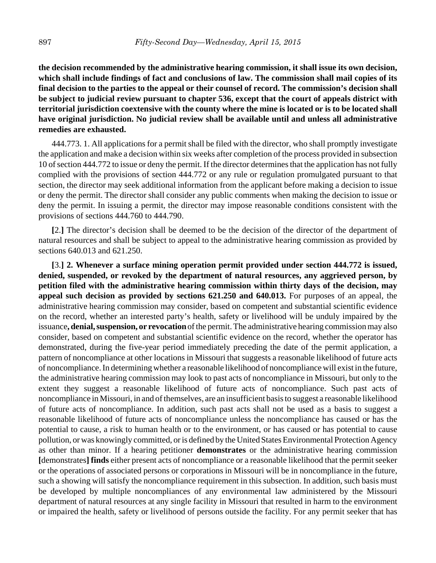**the decision recommended by the administrative hearing commission, it shall issue its own decision, which shall include findings of fact and conclusions of law. The commission shall mail copies of its final decision to the parties to the appeal or their counsel of record. The commission's decision shall be subject to judicial review pursuant to chapter 536, except that the court of appeals district with territorial jurisdiction coextensive with the county where the mine is located or is to be located shall have original jurisdiction. No judicial review shall be available until and unless all administrative remedies are exhausted.**

444.773. 1. All applications for a permit shall be filed with the director, who shall promptly investigate the application and make a decision within six weeks after completion of the process provided in subsection 10 of section 444.772 to issue or deny the permit. If the director determines that the application has not fully complied with the provisions of section 444.772 or any rule or regulation promulgated pursuant to that section, the director may seek additional information from the applicant before making a decision to issue or deny the permit. The director shall consider any public comments when making the decision to issue or deny the permit. In issuing a permit, the director may impose reasonable conditions consistent with the provisions of sections 444.760 to 444.790.

**[**2.**]** The director's decision shall be deemed to be the decision of the director of the department of natural resources and shall be subject to appeal to the administrative hearing commission as provided by sections 640.013 and 621.250.

**[**3.**] 2. Whenever a surface mining operation permit provided under section 444.772 is issued, denied, suspended, or revoked by the department of natural resources, any aggrieved person, by petition filed with the administrative hearing commission within thirty days of the decision, may appeal such decision as provided by sections 621.250 and 640.013.** For purposes of an appeal, the administrative hearing commission may consider, based on competent and substantial scientific evidence on the record, whether an interested party's health, safety or livelihood will be unduly impaired by the issuance**, denial, suspension, or revocation** of the permit. The administrative hearing commission may also consider, based on competent and substantial scientific evidence on the record, whether the operator has demonstrated, during the five-year period immediately preceding the date of the permit application, a pattern of noncompliance at other locations in Missouri that suggests a reasonable likelihood of future acts of noncompliance. In determining whether a reasonable likelihood of noncompliance will exist in the future, the administrative hearing commission may look to past acts of noncompliance in Missouri, but only to the extent they suggest a reasonable likelihood of future acts of noncompliance. Such past acts of noncompliance in Missouri, in and of themselves, are an insufficient basis to suggest a reasonable likelihood of future acts of noncompliance. In addition, such past acts shall not be used as a basis to suggest a reasonable likelihood of future acts of noncompliance unless the noncompliance has caused or has the potential to cause, a risk to human health or to the environment, or has caused or has potential to cause pollution, or was knowingly committed, or is defined by the United States Environmental Protection Agency as other than minor. If a hearing petitioner **demonstrates** or the administrative hearing commission **[**demonstrates**] finds** either present acts of noncompliance or a reasonable likelihood that the permit seeker or the operations of associated persons or corporations in Missouri will be in noncompliance in the future, such a showing will satisfy the noncompliance requirement in this subsection. In addition, such basis must be developed by multiple noncompliances of any environmental law administered by the Missouri department of natural resources at any single facility in Missouri that resulted in harm to the environment or impaired the health, safety or livelihood of persons outside the facility. For any permit seeker that has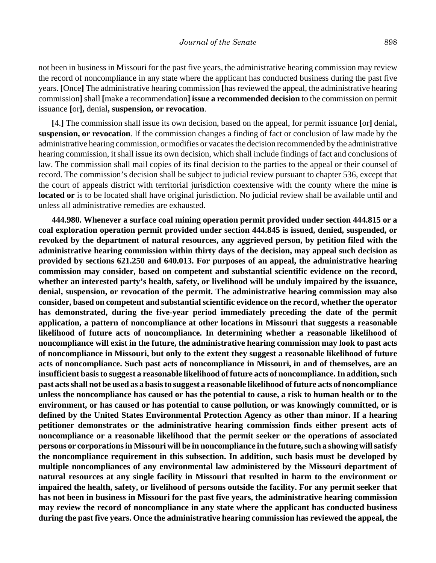not been in business in Missouri for the past five years, the administrative hearing commission may review the record of noncompliance in any state where the applicant has conducted business during the past five years. **[**Once**]** The administrative hearing commission **[**has reviewed the appeal, the administrative hearing commission**]** shall **[**make a recommendation**] issue a recommended decision** to the commission on permit issuance **[**or**],** denial**, suspension, or revocation**.

**[**4.**]** The commission shall issue its own decision, based on the appeal, for permit issuance **[**or**]** denial**, suspension, or revocation**. If the commission changes a finding of fact or conclusion of law made by the administrative hearing commission, or modifies or vacates the decision recommended by the administrative hearing commission, it shall issue its own decision, which shall include findings of fact and conclusions of law. The commission shall mail copies of its final decision to the parties to the appeal or their counsel of record. The commission's decision shall be subject to judicial review pursuant to chapter 536, except that the court of appeals district with territorial jurisdiction coextensive with the county where the mine **is located or** is to be located shall have original jurisdiction. No judicial review shall be available until and unless all administrative remedies are exhausted.

**444.980. Whenever a surface coal mining operation permit provided under section 444.815 or a coal exploration operation permit provided under section 444.845 is issued, denied, suspended, or revoked by the department of natural resources, any aggrieved person, by petition filed with the administrative hearing commission within thirty days of the decision, may appeal such decision as provided by sections 621.250 and 640.013. For purposes of an appeal, the administrative hearing commission may consider, based on competent and substantial scientific evidence on the record, whether an interested party's health, safety, or livelihood will be unduly impaired by the issuance, denial, suspension, or revocation of the permit. The administrative hearing commission may also consider, based on competent and substantial scientific evidence on the record, whether the operator has demonstrated, during the five-year period immediately preceding the date of the permit application, a pattern of noncompliance at other locations in Missouri that suggests a reasonable likelihood of future acts of noncompliance. In determining whether a reasonable likelihood of noncompliance will exist in the future, the administrative hearing commission may look to past acts of noncompliance in Missouri, but only to the extent they suggest a reasonable likelihood of future acts of noncompliance. Such past acts of noncompliance in Missouri, in and of themselves, are an insufficient basis to suggest a reasonable likelihood of future acts of noncompliance. In addition, such past acts shall not be used as a basis to suggest a reasonable likelihood of future acts of noncompliance unless the noncompliance has caused or has the potential to cause, a risk to human health or to the environment, or has caused or has potential to cause pollution, or was knowingly committed, or is defined by the United States Environmental Protection Agency as other than minor. If a hearing petitioner demonstrates or the administrative hearing commission finds either present acts of noncompliance or a reasonable likelihood that the permit seeker or the operations of associated persons or corporations in Missouri will be in noncompliance in the future, such a showing will satisfy the noncompliance requirement in this subsection. In addition, such basis must be developed by multiple noncompliances of any environmental law administered by the Missouri department of natural resources at any single facility in Missouri that resulted in harm to the environment or impaired the health, safety, or livelihood of persons outside the facility. For any permit seeker that has not been in business in Missouri for the past five years, the administrative hearing commission may review the record of noncompliance in any state where the applicant has conducted business during the past five years. Once the administrative hearing commission has reviewed the appeal, the**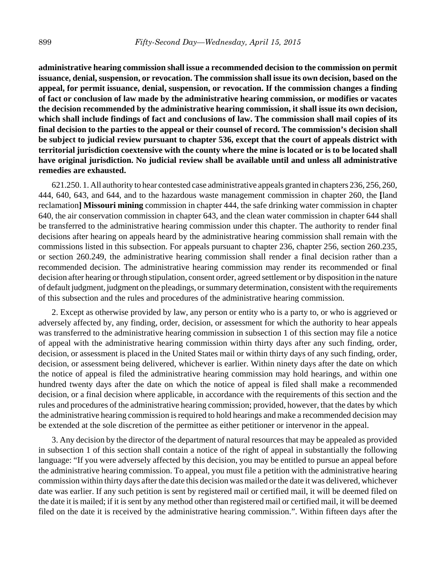**administrative hearing commission shall issue a recommended decision to the commission on permit issuance, denial, suspension, or revocation. The commission shall issue its own decision, based on the appeal, for permit issuance, denial, suspension, or revocation. If the commission changes a finding of fact or conclusion of law made by the administrative hearing commission, or modifies or vacates the decision recommended by the administrative hearing commission, it shall issue its own decision, which shall include findings of fact and conclusions of law. The commission shall mail copies of its final decision to the parties to the appeal or their counsel of record. The commission's decision shall be subject to judicial review pursuant to chapter 536, except that the court of appeals district with territorial jurisdiction coextensive with the county where the mine is located or is to be located shall have original jurisdiction. No judicial review shall be available until and unless all administrative remedies are exhausted.**

621.250. 1. All authority to hear contested case administrative appeals granted in chapters 236, 256, 260, 444, 640, 643, and 644, and to the hazardous waste management commission in chapter 260, the **[**land reclamation**] Missouri mining** commission in chapter 444, the safe drinking water commission in chapter 640, the air conservation commission in chapter 643, and the clean water commission in chapter 644 shall be transferred to the administrative hearing commission under this chapter. The authority to render final decisions after hearing on appeals heard by the administrative hearing commission shall remain with the commissions listed in this subsection. For appeals pursuant to chapter 236, chapter 256, section 260.235, or section 260.249, the administrative hearing commission shall render a final decision rather than a recommended decision. The administrative hearing commission may render its recommended or final decision after hearing or through stipulation, consent order, agreed settlement or by disposition in the nature of default judgment, judgment on the pleadings, or summary determination, consistent with the requirements of this subsection and the rules and procedures of the administrative hearing commission.

2. Except as otherwise provided by law, any person or entity who is a party to, or who is aggrieved or adversely affected by, any finding, order, decision, or assessment for which the authority to hear appeals was transferred to the administrative hearing commission in subsection 1 of this section may file a notice of appeal with the administrative hearing commission within thirty days after any such finding, order, decision, or assessment is placed in the United States mail or within thirty days of any such finding, order, decision, or assessment being delivered, whichever is earlier. Within ninety days after the date on which the notice of appeal is filed the administrative hearing commission may hold hearings, and within one hundred twenty days after the date on which the notice of appeal is filed shall make a recommended decision, or a final decision where applicable, in accordance with the requirements of this section and the rules and procedures of the administrative hearing commission; provided, however, that the dates by which the administrative hearing commission is required to hold hearings and make a recommended decision may be extended at the sole discretion of the permittee as either petitioner or intervenor in the appeal.

3. Any decision by the director of the department of natural resources that may be appealed as provided in subsection 1 of this section shall contain a notice of the right of appeal in substantially the following language: "If you were adversely affected by this decision, you may be entitled to pursue an appeal before the administrative hearing commission. To appeal, you must file a petition with the administrative hearing commission within thirty days after the date this decision was mailed or the date it was delivered, whichever date was earlier. If any such petition is sent by registered mail or certified mail, it will be deemed filed on the date it is mailed; if it is sent by any method other than registered mail or certified mail, it will be deemed filed on the date it is received by the administrative hearing commission.". Within fifteen days after the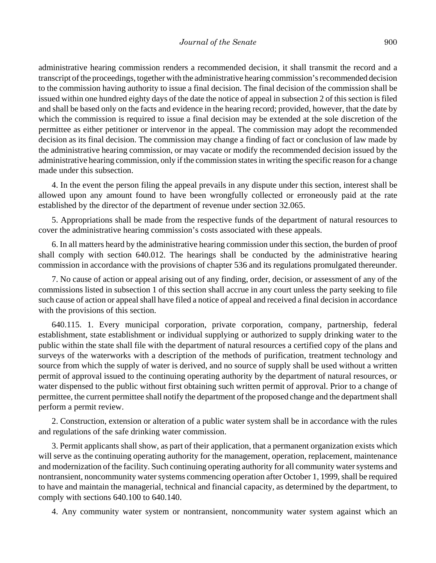administrative hearing commission renders a recommended decision, it shall transmit the record and a transcript of the proceedings, together with the administrative hearing commission's recommended decision to the commission having authority to issue a final decision. The final decision of the commission shall be issued within one hundred eighty days of the date the notice of appeal in subsection 2 of this section is filed and shall be based only on the facts and evidence in the hearing record; provided, however, that the date by which the commission is required to issue a final decision may be extended at the sole discretion of the permittee as either petitioner or intervenor in the appeal. The commission may adopt the recommended decision as its final decision. The commission may change a finding of fact or conclusion of law made by the administrative hearing commission, or may vacate or modify the recommended decision issued by the administrative hearing commission, only if the commission states in writing the specific reason for a change made under this subsection.

4. In the event the person filing the appeal prevails in any dispute under this section, interest shall be allowed upon any amount found to have been wrongfully collected or erroneously paid at the rate established by the director of the department of revenue under section 32.065.

5. Appropriations shall be made from the respective funds of the department of natural resources to cover the administrative hearing commission's costs associated with these appeals.

6. In all matters heard by the administrative hearing commission under this section, the burden of proof shall comply with section 640.012. The hearings shall be conducted by the administrative hearing commission in accordance with the provisions of chapter 536 and its regulations promulgated thereunder.

7. No cause of action or appeal arising out of any finding, order, decision, or assessment of any of the commissions listed in subsection 1 of this section shall accrue in any court unless the party seeking to file such cause of action or appeal shall have filed a notice of appeal and received a final decision in accordance with the provisions of this section.

640.115. 1. Every municipal corporation, private corporation, company, partnership, federal establishment, state establishment or individual supplying or authorized to supply drinking water to the public within the state shall file with the department of natural resources a certified copy of the plans and surveys of the waterworks with a description of the methods of purification, treatment technology and source from which the supply of water is derived, and no source of supply shall be used without a written permit of approval issued to the continuing operating authority by the department of natural resources, or water dispensed to the public without first obtaining such written permit of approval. Prior to a change of permittee, the current permittee shall notify the department of the proposed change and the department shall perform a permit review.

2. Construction, extension or alteration of a public water system shall be in accordance with the rules and regulations of the safe drinking water commission.

3. Permit applicants shall show, as part of their application, that a permanent organization exists which will serve as the continuing operating authority for the management, operation, replacement, maintenance and modernization of the facility. Such continuing operating authority for all community water systems and nontransient, noncommunity water systems commencing operation after October 1, 1999, shall be required to have and maintain the managerial, technical and financial capacity, as determined by the department, to comply with sections 640.100 to 640.140.

4. Any community water system or nontransient, noncommunity water system against which an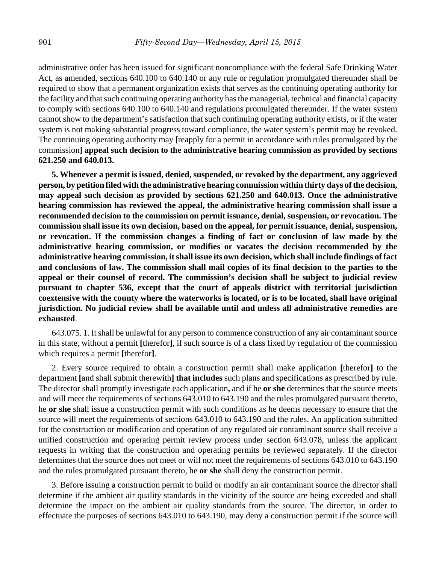administrative order has been issued for significant noncompliance with the federal Safe Drinking Water Act, as amended, sections 640.100 to 640.140 or any rule or regulation promulgated thereunder shall be required to show that a permanent organization exists that serves as the continuing operating authority for the facility and that such continuing operating authority has the managerial, technical and financial capacity to comply with sections 640.100 to 640.140 and regulations promulgated thereunder. If the water system cannot show to the department's satisfaction that such continuing operating authority exists, or if the water system is not making substantial progress toward compliance, the water system's permit may be revoked. The continuing operating authority may **[**reapply for a permit in accordance with rules promulgated by the commission**] appeal such decision to the administrative hearing commission as provided by sections 621.250 and 640.013.**

**5. Whenever a permit is issued, denied, suspended, or revoked by the department, any aggrieved person, by petition filed with the administrative hearing commission within thirty days of the decision, may appeal such decision as provided by sections 621.250 and 640.013. Once the administrative hearing commission has reviewed the appeal, the administrative hearing commission shall issue a recommended decision to the commission on permit issuance, denial, suspension, or revocation. The commission shall issue its own decision, based on the appeal, for permit issuance, denial, suspension, or revocation. If the commission changes a finding of fact or conclusion of law made by the administrative hearing commission, or modifies or vacates the decision recommended by the administrative hearing commission, it shall issue its own decision, which shall include findings of fact and conclusions of law. The commission shall mail copies of its final decision to the parties to the appeal or their counsel of record. The commission's decision shall be subject to judicial review pursuant to chapter 536, except that the court of appeals district with territorial jurisdiction coextensive with the county where the waterworks is located, or is to be located, shall have original jurisdiction. No judicial review shall be available until and unless all administrative remedies are exhausted**.

643.075. 1. It shall be unlawful for any person to commence construction of any air contaminant source in this state, without a permit **[**therefor**]**, if such source is of a class fixed by regulation of the commission which requires a permit **[**therefor**]**.

2. Every source required to obtain a construction permit shall make application **[**therefor**]** to the department **[**and shall submit therewith**] that includes** such plans and specifications as prescribed by rule. The director shall promptly investigate each application**,** and if he **or she** determines that the source meets and will meet the requirements of sections 643.010 to 643.190 and the rules promulgated pursuant thereto, he **or she** shall issue a construction permit with such conditions as he deems necessary to ensure that the source will meet the requirements of sections 643.010 to 643.190 and the rules. An application submitted for the construction or modification and operation of any regulated air contaminant source shall receive a unified construction and operating permit review process under section 643.078, unless the applicant requests in writing that the construction and operating permits be reviewed separately. If the director determines that the source does not meet or will not meet the requirements of sections 643.010 to 643.190 and the rules promulgated pursuant thereto, he **or she** shall deny the construction permit.

3. Before issuing a construction permit to build or modify an air contaminant source the director shall determine if the ambient air quality standards in the vicinity of the source are being exceeded and shall determine the impact on the ambient air quality standards from the source. The director, in order to effectuate the purposes of sections 643.010 to 643.190, may deny a construction permit if the source will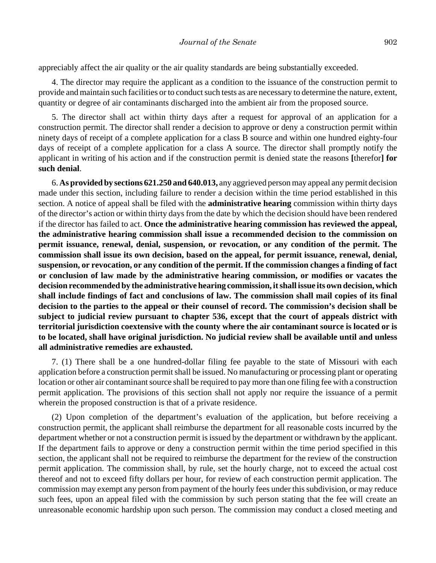appreciably affect the air quality or the air quality standards are being substantially exceeded.

4. The director may require the applicant as a condition to the issuance of the construction permit to provide and maintain such facilities or to conduct such tests as are necessary to determine the nature, extent, quantity or degree of air contaminants discharged into the ambient air from the proposed source.

5. The director shall act within thirty days after a request for approval of an application for a construction permit. The director shall render a decision to approve or deny a construction permit within ninety days of receipt of a complete application for a class B source and within one hundred eighty-four days of receipt of a complete application for a class A source. The director shall promptly notify the applicant in writing of his action and if the construction permit is denied state the reasons **[**therefor**] for such denial**.

6. **As provided by sections 621.250 and 640.013,** any aggrieved person may appeal any permit decision made under this section, including failure to render a decision within the time period established in this section. A notice of appeal shall be filed with the **administrative hearing** commission within thirty days of the director's action or within thirty days from the date by which the decision should have been rendered if the director has failed to act. **Once the administrative hearing commission has reviewed the appeal, the administrative hearing commission shall issue a recommended decision to the commission on permit issuance, renewal, denial, suspension, or revocation, or any condition of the permit. The commission shall issue its own decision, based on the appeal, for permit issuance, renewal, denial, suspension, or revocation, or any condition of the permit. If the commission changes a finding of fact or conclusion of law made by the administrative hearing commission, or modifies or vacates the decision recommended by the administrative hearing commission, it shall issue its own decision, which shall include findings of fact and conclusions of law. The commission shall mail copies of its final decision to the parties to the appeal or their counsel of record. The commission's decision shall be subject to judicial review pursuant to chapter 536, except that the court of appeals district with territorial jurisdiction coextensive with the county where the air contaminant source is located or is to be located, shall have original jurisdiction. No judicial review shall be available until and unless all administrative remedies are exhausted.**

7. (1) There shall be a one hundred-dollar filing fee payable to the state of Missouri with each application before a construction permit shall be issued. No manufacturing or processing plant or operating location or other air contaminant source shall be required to pay more than one filing fee with a construction permit application. The provisions of this section shall not apply nor require the issuance of a permit wherein the proposed construction is that of a private residence.

(2) Upon completion of the department's evaluation of the application, but before receiving a construction permit, the applicant shall reimburse the department for all reasonable costs incurred by the department whether or not a construction permit is issued by the department or withdrawn by the applicant. If the department fails to approve or deny a construction permit within the time period specified in this section, the applicant shall not be required to reimburse the department for the review of the construction permit application. The commission shall, by rule, set the hourly charge, not to exceed the actual cost thereof and not to exceed fifty dollars per hour, for review of each construction permit application. The commission may exempt any person from payment of the hourly fees under this subdivision, or may reduce such fees, upon an appeal filed with the commission by such person stating that the fee will create an unreasonable economic hardship upon such person. The commission may conduct a closed meeting and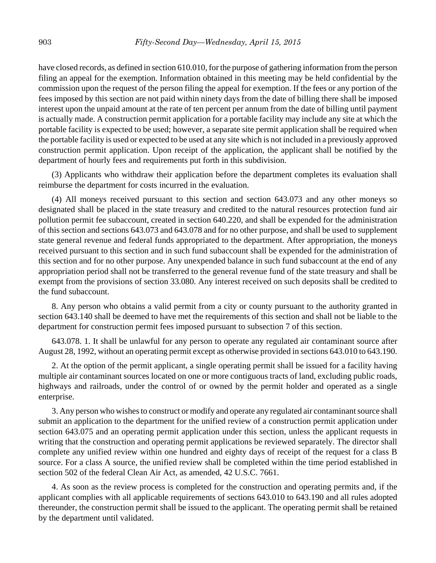have closed records, as defined in section 610.010, for the purpose of gathering information from the person filing an appeal for the exemption. Information obtained in this meeting may be held confidential by the commission upon the request of the person filing the appeal for exemption. If the fees or any portion of the fees imposed by this section are not paid within ninety days from the date of billing there shall be imposed interest upon the unpaid amount at the rate of ten percent per annum from the date of billing until payment is actually made. A construction permit application for a portable facility may include any site at which the portable facility is expected to be used; however, a separate site permit application shall be required when the portable facility is used or expected to be used at any site which is not included in a previously approved construction permit application. Upon receipt of the application, the applicant shall be notified by the department of hourly fees and requirements put forth in this subdivision.

(3) Applicants who withdraw their application before the department completes its evaluation shall reimburse the department for costs incurred in the evaluation.

(4) All moneys received pursuant to this section and section 643.073 and any other moneys so designated shall be placed in the state treasury and credited to the natural resources protection fund air pollution permit fee subaccount, created in section 640.220, and shall be expended for the administration of this section and sections 643.073 and 643.078 and for no other purpose, and shall be used to supplement state general revenue and federal funds appropriated to the department. After appropriation, the moneys received pursuant to this section and in such fund subaccount shall be expended for the administration of this section and for no other purpose. Any unexpended balance in such fund subaccount at the end of any appropriation period shall not be transferred to the general revenue fund of the state treasury and shall be exempt from the provisions of section 33.080. Any interest received on such deposits shall be credited to the fund subaccount.

8. Any person who obtains a valid permit from a city or county pursuant to the authority granted in section 643.140 shall be deemed to have met the requirements of this section and shall not be liable to the department for construction permit fees imposed pursuant to subsection 7 of this section.

643.078. 1. It shall be unlawful for any person to operate any regulated air contaminant source after August 28, 1992, without an operating permit except as otherwise provided in sections 643.010 to 643.190.

2. At the option of the permit applicant, a single operating permit shall be issued for a facility having multiple air contaminant sources located on one or more contiguous tracts of land, excluding public roads, highways and railroads, under the control of or owned by the permit holder and operated as a single enterprise.

3. Any person who wishes to construct or modify and operate any regulated air contaminant source shall submit an application to the department for the unified review of a construction permit application under section 643.075 and an operating permit application under this section, unless the applicant requests in writing that the construction and operating permit applications be reviewed separately. The director shall complete any unified review within one hundred and eighty days of receipt of the request for a class B source. For a class A source, the unified review shall be completed within the time period established in section 502 of the federal Clean Air Act, as amended, 42 U.S.C. 7661.

4. As soon as the review process is completed for the construction and operating permits and, if the applicant complies with all applicable requirements of sections 643.010 to 643.190 and all rules adopted thereunder, the construction permit shall be issued to the applicant. The operating permit shall be retained by the department until validated.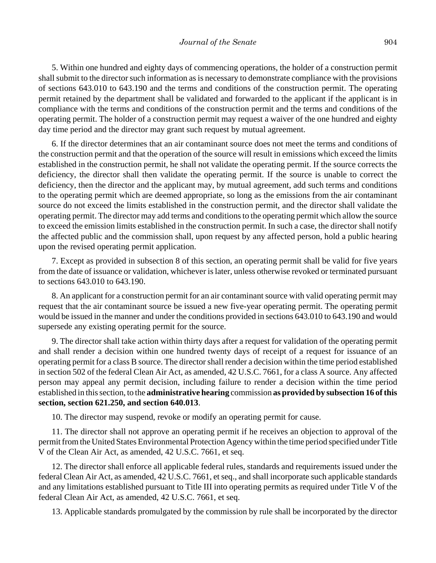5. Within one hundred and eighty days of commencing operations, the holder of a construction permit shall submit to the director such information as is necessary to demonstrate compliance with the provisions of sections 643.010 to 643.190 and the terms and conditions of the construction permit. The operating permit retained by the department shall be validated and forwarded to the applicant if the applicant is in compliance with the terms and conditions of the construction permit and the terms and conditions of the operating permit. The holder of a construction permit may request a waiver of the one hundred and eighty day time period and the director may grant such request by mutual agreement.

6. If the director determines that an air contaminant source does not meet the terms and conditions of the construction permit and that the operation of the source will result in emissions which exceed the limits established in the construction permit, he shall not validate the operating permit. If the source corrects the deficiency, the director shall then validate the operating permit. If the source is unable to correct the deficiency, then the director and the applicant may, by mutual agreement, add such terms and conditions to the operating permit which are deemed appropriate, so long as the emissions from the air contaminant source do not exceed the limits established in the construction permit, and the director shall validate the operating permit. The director may add terms and conditions to the operating permit which allow the source to exceed the emission limits established in the construction permit. In such a case, the director shall notify the affected public and the commission shall, upon request by any affected person, hold a public hearing upon the revised operating permit application.

7. Except as provided in subsection 8 of this section, an operating permit shall be valid for five years from the date of issuance or validation, whichever is later, unless otherwise revoked or terminated pursuant to sections 643.010 to 643.190.

8. An applicant for a construction permit for an air contaminant source with valid operating permit may request that the air contaminant source be issued a new five-year operating permit. The operating permit would be issued in the manner and under the conditions provided in sections 643.010 to 643.190 and would supersede any existing operating permit for the source.

9. The director shall take action within thirty days after a request for validation of the operating permit and shall render a decision within one hundred twenty days of receipt of a request for issuance of an operating permit for a class B source. The director shall render a decision within the time period established in section 502 of the federal Clean Air Act, as amended, 42 U.S.C. 7661, for a class A source. Any affected person may appeal any permit decision, including failure to render a decision within the time period established in this section, to the **administrative hearing** commission **as provided by subsection 16 of this section, section 621.250, and section 640.013**.

10. The director may suspend, revoke or modify an operating permit for cause.

11. The director shall not approve an operating permit if he receives an objection to approval of the permit from the United States Environmental Protection Agency within the time period specified under Title V of the Clean Air Act, as amended, 42 U.S.C. 7661, et seq.

12. The director shall enforce all applicable federal rules, standards and requirements issued under the federal Clean Air Act, as amended, 42 U.S.C. 7661, et seq., and shall incorporate such applicable standards and any limitations established pursuant to Title III into operating permits as required under Title V of the federal Clean Air Act, as amended, 42 U.S.C. 7661, et seq.

13. Applicable standards promulgated by the commission by rule shall be incorporated by the director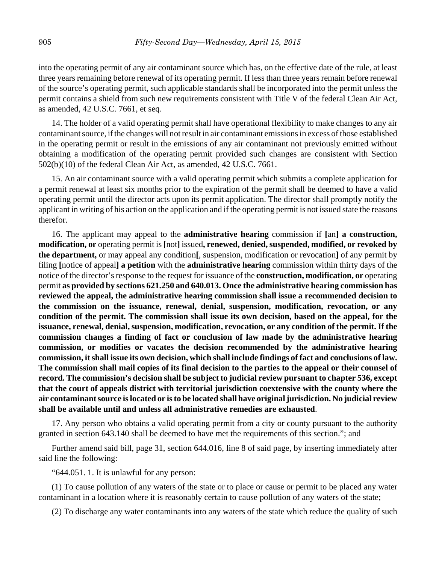into the operating permit of any air contaminant source which has, on the effective date of the rule, at least three years remaining before renewal of its operating permit. If less than three years remain before renewal of the source's operating permit, such applicable standards shall be incorporated into the permit unless the permit contains a shield from such new requirements consistent with Title V of the federal Clean Air Act, as amended, 42 U.S.C. 7661, et seq.

14. The holder of a valid operating permit shall have operational flexibility to make changes to any air contaminant source, if the changes will not result in air contaminant emissions in excess of those established in the operating permit or result in the emissions of any air contaminant not previously emitted without obtaining a modification of the operating permit provided such changes are consistent with Section 502(b)(10) of the federal Clean Air Act, as amended, 42 U.S.C. 7661.

15. An air contaminant source with a valid operating permit which submits a complete application for a permit renewal at least six months prior to the expiration of the permit shall be deemed to have a valid operating permit until the director acts upon its permit application. The director shall promptly notify the applicant in writing of his action on the application and if the operating permit is not issued state the reasons therefor.

16. The applicant may appeal to the **administrative hearing** commission if **[**an**] a construction, modification, or** operating permit is **[**not**]** issued**, renewed, denied, suspended, modified, or revoked by the department,** or may appeal any condition**[**, suspension, modification or revocation**]** of any permit by filing **[**notice of appeal**] a petition** with the **administrative hearing** commission within thirty days of the notice of the director's response to the request for issuance of the **construction, modification, or** operating permit **as provided by sections 621.250 and 640.013. Once the administrative hearing commission has reviewed the appeal, the administrative hearing commission shall issue a recommended decision to the commission on the issuance, renewal, denial, suspension, modification, revocation, or any condition of the permit. The commission shall issue its own decision, based on the appeal, for the issuance, renewal, denial, suspension, modification, revocation, or any condition of the permit. If the commission changes a finding of fact or conclusion of law made by the administrative hearing commission, or modifies or vacates the decision recommended by the administrative hearing commission, it shall issue its own decision, which shall include findings of fact and conclusions of law. The commission shall mail copies of its final decision to the parties to the appeal or their counsel of record. The commission's decision shall be subject to judicial review pursuant to chapter 536, except that the court of appeals district with territorial jurisdiction coextensive with the county where the air contaminant source is located or is to be located shall have original jurisdiction. No judicial review shall be available until and unless all administrative remedies are exhausted**.

17. Any person who obtains a valid operating permit from a city or county pursuant to the authority granted in section 643.140 shall be deemed to have met the requirements of this section."; and

Further amend said bill, page 31, section 644.016, line 8 of said page, by inserting immediately after said line the following:

"644.051. 1. It is unlawful for any person:

(1) To cause pollution of any waters of the state or to place or cause or permit to be placed any water contaminant in a location where it is reasonably certain to cause pollution of any waters of the state;

(2) To discharge any water contaminants into any waters of the state which reduce the quality of such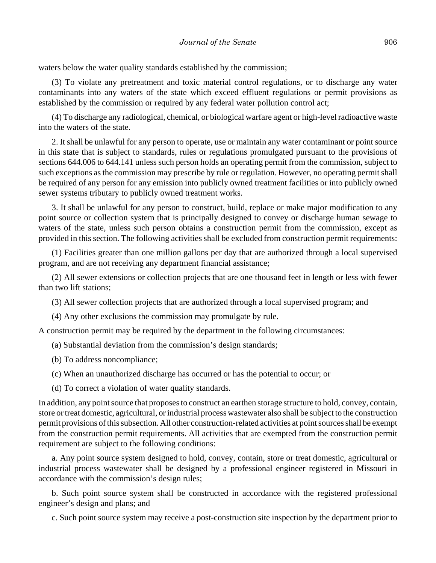waters below the water quality standards established by the commission;

(3) To violate any pretreatment and toxic material control regulations, or to discharge any water contaminants into any waters of the state which exceed effluent regulations or permit provisions as established by the commission or required by any federal water pollution control act;

(4) To discharge any radiological, chemical, or biological warfare agent or high-level radioactive waste into the waters of the state.

2. It shall be unlawful for any person to operate, use or maintain any water contaminant or point source in this state that is subject to standards, rules or regulations promulgated pursuant to the provisions of sections 644.006 to 644.141 unless such person holds an operating permit from the commission, subject to such exceptions as the commission may prescribe by rule or regulation. However, no operating permit shall be required of any person for any emission into publicly owned treatment facilities or into publicly owned sewer systems tributary to publicly owned treatment works.

3. It shall be unlawful for any person to construct, build, replace or make major modification to any point source or collection system that is principally designed to convey or discharge human sewage to waters of the state, unless such person obtains a construction permit from the commission, except as provided in this section. The following activities shall be excluded from construction permit requirements:

(1) Facilities greater than one million gallons per day that are authorized through a local supervised program, and are not receiving any department financial assistance;

(2) All sewer extensions or collection projects that are one thousand feet in length or less with fewer than two lift stations;

(3) All sewer collection projects that are authorized through a local supervised program; and

(4) Any other exclusions the commission may promulgate by rule.

A construction permit may be required by the department in the following circumstances:

(a) Substantial deviation from the commission's design standards;

(b) To address noncompliance;

(c) When an unauthorized discharge has occurred or has the potential to occur; or

(d) To correct a violation of water quality standards.

In addition, any point source that proposes to construct an earthen storage structure to hold, convey, contain, store or treat domestic, agricultural, or industrial process wastewater also shall be subject to the construction permit provisions of this subsection. All other construction-related activities at point sources shall be exempt from the construction permit requirements. All activities that are exempted from the construction permit requirement are subject to the following conditions:

a. Any point source system designed to hold, convey, contain, store or treat domestic, agricultural or industrial process wastewater shall be designed by a professional engineer registered in Missouri in accordance with the commission's design rules;

b. Such point source system shall be constructed in accordance with the registered professional engineer's design and plans; and

c. Such point source system may receive a post-construction site inspection by the department prior to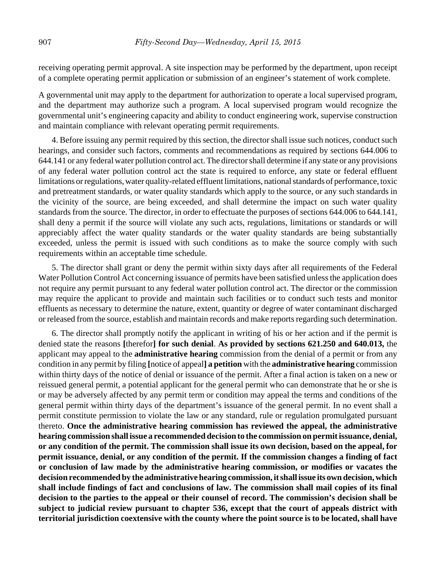receiving operating permit approval. A site inspection may be performed by the department, upon receipt of a complete operating permit application or submission of an engineer's statement of work complete.

A governmental unit may apply to the department for authorization to operate a local supervised program, and the department may authorize such a program. A local supervised program would recognize the governmental unit's engineering capacity and ability to conduct engineering work, supervise construction and maintain compliance with relevant operating permit requirements.

4. Before issuing any permit required by this section, the director shall issue such notices, conduct such hearings, and consider such factors, comments and recommendations as required by sections 644.006 to 644.141 or any federal water pollution control act. The director shall determine if any state or any provisions of any federal water pollution control act the state is required to enforce, any state or federal effluent limitations or regulations, water quality-related effluent limitations, national standards of performance, toxic and pretreatment standards, or water quality standards which apply to the source, or any such standards in the vicinity of the source, are being exceeded, and shall determine the impact on such water quality standards from the source. The director, in order to effectuate the purposes of sections 644.006 to 644.141, shall deny a permit if the source will violate any such acts, regulations, limitations or standards or will appreciably affect the water quality standards or the water quality standards are being substantially exceeded, unless the permit is issued with such conditions as to make the source comply with such requirements within an acceptable time schedule.

5. The director shall grant or deny the permit within sixty days after all requirements of the Federal Water Pollution Control Act concerning issuance of permits have been satisfied unless the application does not require any permit pursuant to any federal water pollution control act. The director or the commission may require the applicant to provide and maintain such facilities or to conduct such tests and monitor effluents as necessary to determine the nature, extent, quantity or degree of water contaminant discharged or released from the source, establish and maintain records and make reports regarding such determination.

6. The director shall promptly notify the applicant in writing of his or her action and if the permit is denied state the reasons **[**therefor**] for such denial**. **As provided by sections 621.250 and 640.013,** the applicant may appeal to the **administrative hearing** commission from the denial of a permit or from any condition in any permit by filing **[**notice of appeal**] a petition** with the **administrative hearing** commission within thirty days of the notice of denial or issuance of the permit. After a final action is taken on a new or reissued general permit, a potential applicant for the general permit who can demonstrate that he or she is or may be adversely affected by any permit term or condition may appeal the terms and conditions of the general permit within thirty days of the department's issuance of the general permit. In no event shall a permit constitute permission to violate the law or any standard, rule or regulation promulgated pursuant thereto. **Once the administrative hearing commission has reviewed the appeal, the administrative hearing commission shall issue a recommended decision to the commission on permit issuance, denial, or any condition of the permit. The commission shall issue its own decision, based on the appeal, for permit issuance, denial, or any condition of the permit. If the commission changes a finding of fact or conclusion of law made by the administrative hearing commission, or modifies or vacates the decision recommended by the administrative hearing commission, it shall issue its own decision, which shall include findings of fact and conclusions of law. The commission shall mail copies of its final decision to the parties to the appeal or their counsel of record. The commission's decision shall be subject to judicial review pursuant to chapter 536, except that the court of appeals district with territorial jurisdiction coextensive with the county where the point source is to be located, shall have**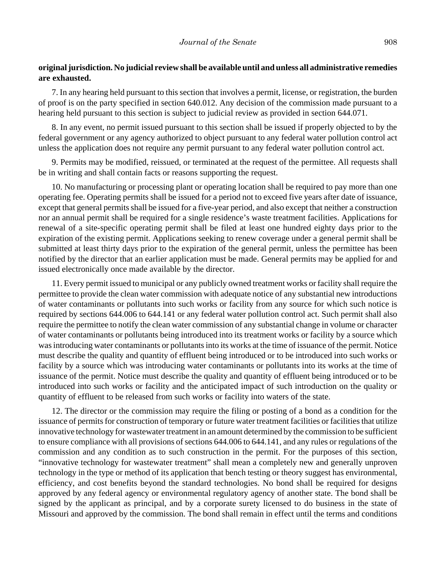## **original jurisdiction. No judicial review shall be available until and unless all administrative remedies are exhausted.**

7. In any hearing held pursuant to this section that involves a permit, license, or registration, the burden of proof is on the party specified in section 640.012. Any decision of the commission made pursuant to a hearing held pursuant to this section is subject to judicial review as provided in section 644.071.

8. In any event, no permit issued pursuant to this section shall be issued if properly objected to by the federal government or any agency authorized to object pursuant to any federal water pollution control act unless the application does not require any permit pursuant to any federal water pollution control act.

9. Permits may be modified, reissued, or terminated at the request of the permittee. All requests shall be in writing and shall contain facts or reasons supporting the request.

10. No manufacturing or processing plant or operating location shall be required to pay more than one operating fee. Operating permits shall be issued for a period not to exceed five years after date of issuance, except that general permits shall be issued for a five-year period, and also except that neither a construction nor an annual permit shall be required for a single residence's waste treatment facilities. Applications for renewal of a site-specific operating permit shall be filed at least one hundred eighty days prior to the expiration of the existing permit. Applications seeking to renew coverage under a general permit shall be submitted at least thirty days prior to the expiration of the general permit, unless the permittee has been notified by the director that an earlier application must be made. General permits may be applied for and issued electronically once made available by the director.

11. Every permit issued to municipal or any publicly owned treatment works or facility shall require the permittee to provide the clean water commission with adequate notice of any substantial new introductions of water contaminants or pollutants into such works or facility from any source for which such notice is required by sections 644.006 to 644.141 or any federal water pollution control act. Such permit shall also require the permittee to notify the clean water commission of any substantial change in volume or character of water contaminants or pollutants being introduced into its treatment works or facility by a source which was introducing water contaminants or pollutants into its works at the time of issuance of the permit. Notice must describe the quality and quantity of effluent being introduced or to be introduced into such works or facility by a source which was introducing water contaminants or pollutants into its works at the time of issuance of the permit. Notice must describe the quality and quantity of effluent being introduced or to be introduced into such works or facility and the anticipated impact of such introduction on the quality or quantity of effluent to be released from such works or facility into waters of the state.

12. The director or the commission may require the filing or posting of a bond as a condition for the issuance of permits for construction of temporary or future water treatment facilities or facilities that utilize innovative technology for wastewater treatment in an amount determined by the commission to be sufficient to ensure compliance with all provisions of sections 644.006 to 644.141, and any rules or regulations of the commission and any condition as to such construction in the permit. For the purposes of this section, "innovative technology for wastewater treatment" shall mean a completely new and generally unproven technology in the type or method of its application that bench testing or theory suggest has environmental, efficiency, and cost benefits beyond the standard technologies. No bond shall be required for designs approved by any federal agency or environmental regulatory agency of another state. The bond shall be signed by the applicant as principal, and by a corporate surety licensed to do business in the state of Missouri and approved by the commission. The bond shall remain in effect until the terms and conditions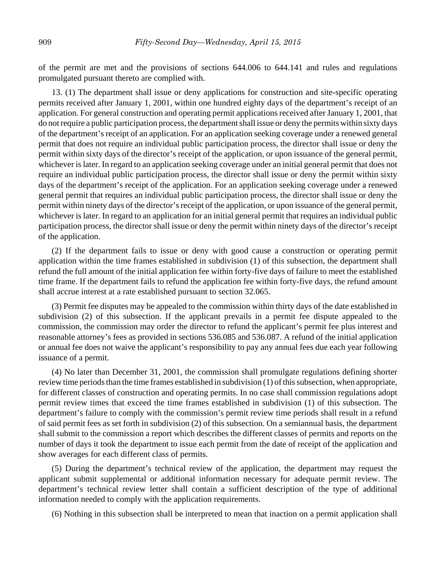of the permit are met and the provisions of sections 644.006 to 644.141 and rules and regulations promulgated pursuant thereto are complied with.

13. (1) The department shall issue or deny applications for construction and site-specific operating permits received after January 1, 2001, within one hundred eighty days of the department's receipt of an application. For general construction and operating permit applications received after January 1, 2001, that do not require a public participation process, the department shall issue or deny the permits within sixty days of the department's receipt of an application. For an application seeking coverage under a renewed general permit that does not require an individual public participation process, the director shall issue or deny the permit within sixty days of the director's receipt of the application, or upon issuance of the general permit, whichever is later. In regard to an application seeking coverage under an initial general permit that does not require an individual public participation process, the director shall issue or deny the permit within sixty days of the department's receipt of the application. For an application seeking coverage under a renewed general permit that requires an individual public participation process, the director shall issue or deny the permit within ninety days of the director's receipt of the application, or upon issuance of the general permit, whichever is later. In regard to an application for an initial general permit that requires an individual public participation process, the director shall issue or deny the permit within ninety days of the director's receipt of the application.

(2) If the department fails to issue or deny with good cause a construction or operating permit application within the time frames established in subdivision (1) of this subsection, the department shall refund the full amount of the initial application fee within forty-five days of failure to meet the established time frame. If the department fails to refund the application fee within forty-five days, the refund amount shall accrue interest at a rate established pursuant to section 32.065.

(3) Permit fee disputes may be appealed to the commission within thirty days of the date established in subdivision (2) of this subsection. If the applicant prevails in a permit fee dispute appealed to the commission, the commission may order the director to refund the applicant's permit fee plus interest and reasonable attorney's fees as provided in sections 536.085 and 536.087. A refund of the initial application or annual fee does not waive the applicant's responsibility to pay any annual fees due each year following issuance of a permit.

(4) No later than December 31, 2001, the commission shall promulgate regulations defining shorter review time periods than the time frames established in subdivision (1) of this subsection, when appropriate, for different classes of construction and operating permits. In no case shall commission regulations adopt permit review times that exceed the time frames established in subdivision (1) of this subsection. The department's failure to comply with the commission's permit review time periods shall result in a refund of said permit fees as set forth in subdivision (2) of this subsection. On a semiannual basis, the department shall submit to the commission a report which describes the different classes of permits and reports on the number of days it took the department to issue each permit from the date of receipt of the application and show averages for each different class of permits.

(5) During the department's technical review of the application, the department may request the applicant submit supplemental or additional information necessary for adequate permit review. The department's technical review letter shall contain a sufficient description of the type of additional information needed to comply with the application requirements.

(6) Nothing in this subsection shall be interpreted to mean that inaction on a permit application shall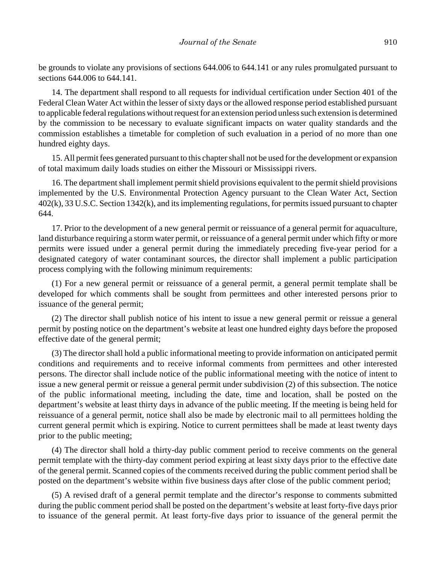be grounds to violate any provisions of sections 644.006 to 644.141 or any rules promulgated pursuant to sections 644.006 to 644.141.

14. The department shall respond to all requests for individual certification under Section 401 of the Federal Clean Water Act within the lesser of sixty days or the allowed response period established pursuant to applicable federal regulations without request for an extension period unless such extension is determined by the commission to be necessary to evaluate significant impacts on water quality standards and the commission establishes a timetable for completion of such evaluation in a period of no more than one hundred eighty days.

15. All permit fees generated pursuant to this chapter shall not be used for the development or expansion of total maximum daily loads studies on either the Missouri or Mississippi rivers.

16. The department shall implement permit shield provisions equivalent to the permit shield provisions implemented by the U.S. Environmental Protection Agency pursuant to the Clean Water Act, Section 402(k), 33 U.S.C. Section 1342(k), and its implementing regulations, for permits issued pursuant to chapter 644.

17. Prior to the development of a new general permit or reissuance of a general permit for aquaculture, land disturbance requiring a storm water permit, or reissuance of a general permit under which fifty or more permits were issued under a general permit during the immediately preceding five-year period for a designated category of water contaminant sources, the director shall implement a public participation process complying with the following minimum requirements:

(1) For a new general permit or reissuance of a general permit, a general permit template shall be developed for which comments shall be sought from permittees and other interested persons prior to issuance of the general permit;

(2) The director shall publish notice of his intent to issue a new general permit or reissue a general permit by posting notice on the department's website at least one hundred eighty days before the proposed effective date of the general permit;

(3) The director shall hold a public informational meeting to provide information on anticipated permit conditions and requirements and to receive informal comments from permittees and other interested persons. The director shall include notice of the public informational meeting with the notice of intent to issue a new general permit or reissue a general permit under subdivision (2) of this subsection. The notice of the public informational meeting, including the date, time and location, shall be posted on the department's website at least thirty days in advance of the public meeting. If the meeting is being held for reissuance of a general permit, notice shall also be made by electronic mail to all permittees holding the current general permit which is expiring. Notice to current permittees shall be made at least twenty days prior to the public meeting;

(4) The director shall hold a thirty-day public comment period to receive comments on the general permit template with the thirty-day comment period expiring at least sixty days prior to the effective date of the general permit. Scanned copies of the comments received during the public comment period shall be posted on the department's website within five business days after close of the public comment period;

(5) A revised draft of a general permit template and the director's response to comments submitted during the public comment period shall be posted on the department's website at least forty-five days prior to issuance of the general permit. At least forty-five days prior to issuance of the general permit the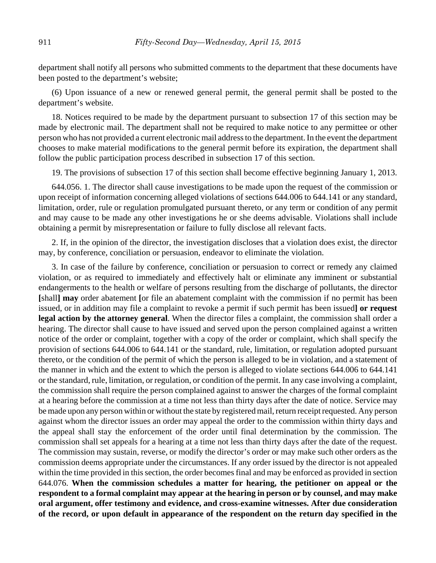department shall notify all persons who submitted comments to the department that these documents have been posted to the department's website;

(6) Upon issuance of a new or renewed general permit, the general permit shall be posted to the department's website.

18. Notices required to be made by the department pursuant to subsection 17 of this section may be made by electronic mail. The department shall not be required to make notice to any permittee or other person who has not provided a current electronic mail address to the department. In the event the department chooses to make material modifications to the general permit before its expiration, the department shall follow the public participation process described in subsection 17 of this section.

19. The provisions of subsection 17 of this section shall become effective beginning January 1, 2013.

644.056. 1. The director shall cause investigations to be made upon the request of the commission or upon receipt of information concerning alleged violations of sections 644.006 to 644.141 or any standard, limitation, order, rule or regulation promulgated pursuant thereto, or any term or condition of any permit and may cause to be made any other investigations he or she deems advisable. Violations shall include obtaining a permit by misrepresentation or failure to fully disclose all relevant facts.

2. If, in the opinion of the director, the investigation discloses that a violation does exist, the director may, by conference, conciliation or persuasion, endeavor to eliminate the violation.

3. In case of the failure by conference, conciliation or persuasion to correct or remedy any claimed violation, or as required to immediately and effectively halt or eliminate any imminent or substantial endangerments to the health or welfare of persons resulting from the discharge of pollutants, the director **[**shall**] may** order abatement **[**or file an abatement complaint with the commission if no permit has been issued, or in addition may file a complaint to revoke a permit if such permit has been issued**] or request legal action by the attorney general**. When the director files a complaint, the commission shall order a hearing. The director shall cause to have issued and served upon the person complained against a written notice of the order or complaint, together with a copy of the order or complaint, which shall specify the provision of sections 644.006 to 644.141 or the standard, rule, limitation, or regulation adopted pursuant thereto, or the condition of the permit of which the person is alleged to be in violation, and a statement of the manner in which and the extent to which the person is alleged to violate sections 644.006 to 644.141 or the standard, rule, limitation, or regulation, or condition of the permit. In any case involving a complaint, the commission shall require the person complained against to answer the charges of the formal complaint at a hearing before the commission at a time not less than thirty days after the date of notice. Service may be made upon any person within or without the state by registered mail, return receipt requested. Any person against whom the director issues an order may appeal the order to the commission within thirty days and the appeal shall stay the enforcement of the order until final determination by the commission. The commission shall set appeals for a hearing at a time not less than thirty days after the date of the request. The commission may sustain, reverse, or modify the director's order or may make such other orders as the commission deems appropriate under the circumstances. If any order issued by the director is not appealed within the time provided in this section, the order becomes final and may be enforced as provided in section 644.076. **When the commission schedules a matter for hearing, the petitioner on appeal or the respondent to a formal complaint may appear at the hearing in person or by counsel, and may make oral argument, offer testimony and evidence, and cross-examine witnesses. After due consideration of the record, or upon default in appearance of the respondent on the return day specified in the**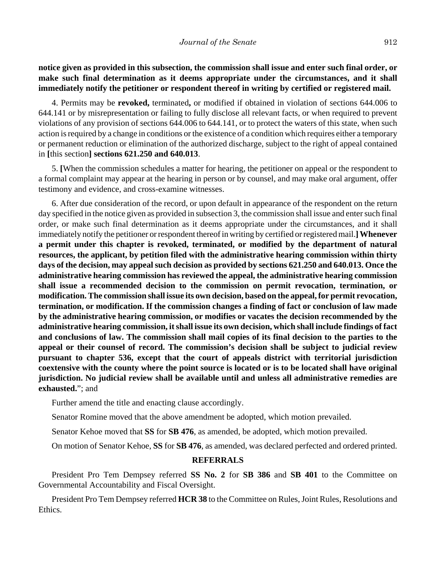**notice given as provided in this subsection, the commission shall issue and enter such final order, or make such final determination as it deems appropriate under the circumstances, and it shall immediately notify the petitioner or respondent thereof in writing by certified or registered mail.**

4. Permits may be **revoked,** terminated**,** or modified if obtained in violation of sections 644.006 to 644.141 or by misrepresentation or failing to fully disclose all relevant facts, or when required to prevent violations of any provision of sections 644.006 to 644.141, or to protect the waters of this state, when such action is required by a change in conditions or the existence of a condition which requires either a temporary or permanent reduction or elimination of the authorized discharge, subject to the right of appeal contained in **[**this section**] sections 621.250 and 640.013**.

5. **[**When the commission schedules a matter for hearing, the petitioner on appeal or the respondent to a formal complaint may appear at the hearing in person or by counsel, and may make oral argument, offer testimony and evidence, and cross-examine witnesses.

6. After due consideration of the record, or upon default in appearance of the respondent on the return day specified in the notice given as provided in subsection 3, the commission shall issue and enter such final order, or make such final determination as it deems appropriate under the circumstances, and it shall immediately notify the petitioner or respondent thereof in writing by certified or registered mail.**]Whenever a permit under this chapter is revoked, terminated, or modified by the department of natural resources, the applicant, by petition filed with the administrative hearing commission within thirty days of the decision, may appeal such decision as provided by sections 621.250 and 640.013. Once the administrative hearing commission has reviewed the appeal, the administrative hearing commission shall issue a recommended decision to the commission on permit revocation, termination, or modification. The commission shall issue its own decision, based on the appeal, for permit revocation, termination, or modification. If the commission changes a finding of fact or conclusion of law made by the administrative hearing commission, or modifies or vacates the decision recommended by the administrative hearing commission, it shall issue its own decision, which shall include findings of fact and conclusions of law. The commission shall mail copies of its final decision to the parties to the appeal or their counsel of record. The commission's decision shall be subject to judicial review pursuant to chapter 536, except that the court of appeals district with territorial jurisdiction coextensive with the county where the point source is located or is to be located shall have original jurisdiction. No judicial review shall be available until and unless all administrative remedies are exhausted.**"; and

Further amend the title and enacting clause accordingly.

Senator Romine moved that the above amendment be adopted, which motion prevailed.

Senator Kehoe moved that **SS** for **SB 476**, as amended, be adopted, which motion prevailed.

On motion of Senator Kehoe, **SS** for **SB 476**, as amended, was declared perfected and ordered printed.

#### **REFERRALS**

President Pro Tem Dempsey referred **SS No. 2** for **SB 386** and **SB 401** to the Committee on Governmental Accountability and Fiscal Oversight.

President Pro Tem Dempsey referred **HCR 38** to the Committee on Rules, Joint Rules, Resolutions and Ethics.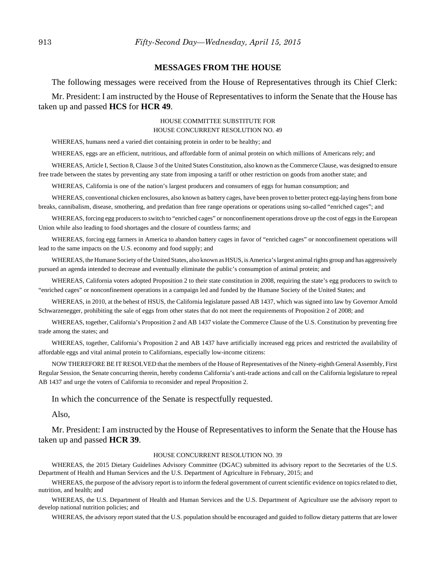#### **MESSAGES FROM THE HOUSE**

The following messages were received from the House of Representatives through its Chief Clerk:

Mr. President: I am instructed by the House of Representatives to inform the Senate that the House has taken up and passed **HCS** for **HCR 49**.

#### HOUSE COMMITTEE SUBSTITUTE FOR HOUSE CONCURRENT RESOLUTION NO. 49

WHEREAS, humans need a varied diet containing protein in order to be healthy; and

WHEREAS, eggs are an efficient, nutritious, and affordable form of animal protein on which millions of Americans rely; and

WHEREAS, Article I, Section 8, Clause 3 of the United States Constitution, also known as the Commerce Clause, was designed to ensure free trade between the states by preventing any state from imposing a tariff or other restriction on goods from another state; and

WHEREAS, California is one of the nation's largest producers and consumers of eggs for human consumption; and

WHEREAS, conventional chicken enclosures, also known as battery cages, have been proven to better protect egg-laying hens from bone breaks, cannibalism, disease, smothering, and predation than free range operations or operations using so-called "enriched cages"; and

WHEREAS, forcing egg producers to switch to "enriched cages" or nonconfinement operations drove up the cost of eggs in the European Union while also leading to food shortages and the closure of countless farms; and

WHEREAS, forcing egg farmers in America to abandon battery cages in favor of "enriched cages" or nonconfinement operations will lead to the same impacts on the U.S. economy and food supply; and

WHEREAS, the Humane Society of the United States, also known as HSUS, is America's largest animal rights group and has aggressively pursued an agenda intended to decrease and eventually eliminate the public's consumption of animal protein; and

WHEREAS, California voters adopted Proposition 2 to their state constitution in 2008, requiring the state's egg producers to switch to "enriched cages" or nonconfinement operations in a campaign led and funded by the Humane Society of the United States; and

WHEREAS, in 2010, at the behest of HSUS, the California legislature passed AB 1437, which was signed into law by Governor Arnold Schwarzenegger, prohibiting the sale of eggs from other states that do not meet the requirements of Proposition 2 of 2008; and

WHEREAS, together, California's Proposition 2 and AB 1437 violate the Commerce Clause of the U.S. Constitution by preventing free trade among the states; and

WHEREAS, together, California's Proposition 2 and AB 1437 have artificially increased egg prices and restricted the availability of affordable eggs and vital animal protein to Californians, especially low-income citizens:

NOW THEREFORE BE IT RESOLVED that the members of the House of Representatives of the Ninety-eighth General Assembly, First Regular Session, the Senate concurring therein, hereby condemn California's anti-trade actions and call on the California legislature to repeal AB 1437 and urge the voters of California to reconsider and repeal Proposition 2.

In which the concurrence of the Senate is respectfully requested.

Also,

Mr. President: I am instructed by the House of Representatives to inform the Senate that the House has taken up and passed **HCR 39**.

#### HOUSE CONCURRENT RESOLUTION NO. 39

WHEREAS, the 2015 Dietary Guidelines Advisory Committee (DGAC) submitted its advisory report to the Secretaries of the U.S. Department of Health and Human Services and the U.S. Department of Agriculture in February, 2015; and

WHEREAS, the purpose of the advisory report is to inform the federal government of current scientific evidence on topics related to diet, nutrition, and health; and

WHEREAS, the U.S. Department of Health and Human Services and the U.S. Department of Agriculture use the advisory report to develop national nutrition policies; and

WHEREAS, the advisory report stated that the U.S. population should be encouraged and guided to follow dietary patterns that are lower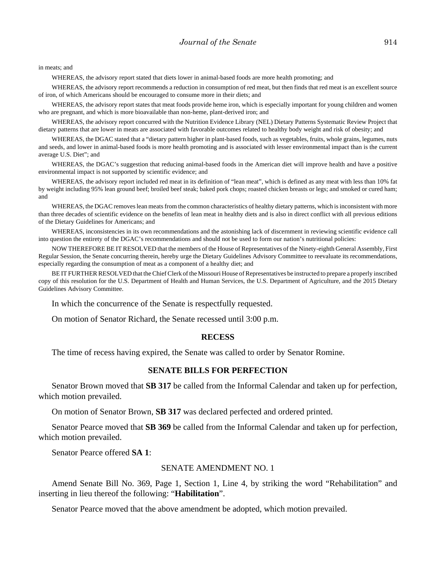in meats; and

WHEREAS, the advisory report stated that diets lower in animal-based foods are more health promoting; and

WHEREAS, the advisory report recommends a reduction in consumption of red meat, but then finds that red meat is an excellent source of iron, of which Americans should be encouraged to consume more in their diets; and

WHEREAS, the advisory report states that meat foods provide heme iron, which is especially important for young children and women who are pregnant, and which is more bioavailable than non-heme, plant-derived iron; and

WHEREAS, the advisory report concurred with the Nutrition Evidence Library (NEL) Dietary Patterns Systematic Review Project that dietary patterns that are lower in meats are associated with favorable outcomes related to healthy body weight and risk of obesity; and

WHEREAS, the DGAC stated that a "dietary pattern higher in plant-based foods, such as vegetables, fruits, whole grains, legumes, nuts and seeds, and lower in animal-based foods is more health promoting and is associated with lesser environmental impact than is the current average U.S. Diet"; and

WHEREAS, the DGAC's suggestion that reducing animal-based foods in the American diet will improve health and have a positive environmental impact is not supported by scientific evidence; and

WHEREAS, the advisory report included red meat in its definition of "lean meat", which is defined as any meat with less than 10% fat by weight including 95% lean ground beef; broiled beef steak; baked pork chops; roasted chicken breasts or legs; and smoked or cured ham; and

WHEREAS, the DGAC removes lean meats from the common characteristics of healthy dietary patterns, which is inconsistent with more than three decades of scientific evidence on the benefits of lean meat in healthy diets and is also in direct conflict with all previous editions of the Dietary Guidelines for Americans; and

WHEREAS, inconsistencies in its own recommendations and the astonishing lack of discernment in reviewing scientific evidence call into question the entirety of the DGAC's recommendations and should not be used to form our nation's nutritional policies:

NOW THEREFORE BE IT RESOLVED that the members of the House of Representatives of the Ninety-eighth General Assembly, First Regular Session, the Senate concurring therein, hereby urge the Dietary Guidelines Advisory Committee to reevaluate its recommendations, especially regarding the consumption of meat as a component of a healthy diet; and

BE IT FURTHER RESOLVED that the Chief Clerk of the Missouri House of Representatives be instructed to prepare a properly inscribed copy of this resolution for the U.S. Department of Health and Human Services, the U.S. Department of Agriculture, and the 2015 Dietary Guidelines Advisory Committee.

In which the concurrence of the Senate is respectfully requested.

On motion of Senator Richard, the Senate recessed until 3:00 p.m.

#### **RECESS**

The time of recess having expired, the Senate was called to order by Senator Romine.

#### **SENATE BILLS FOR PERFECTION**

Senator Brown moved that **SB 317** be called from the Informal Calendar and taken up for perfection, which motion prevailed.

On motion of Senator Brown, **SB 317** was declared perfected and ordered printed.

Senator Pearce moved that **SB 369** be called from the Informal Calendar and taken up for perfection, which motion prevailed.

Senator Pearce offered **SA 1**:

#### SENATE AMENDMENT NO. 1

Amend Senate Bill No. 369, Page 1, Section 1, Line 4, by striking the word "Rehabilitation" and inserting in lieu thereof the following: "**Habilitation**".

Senator Pearce moved that the above amendment be adopted, which motion prevailed.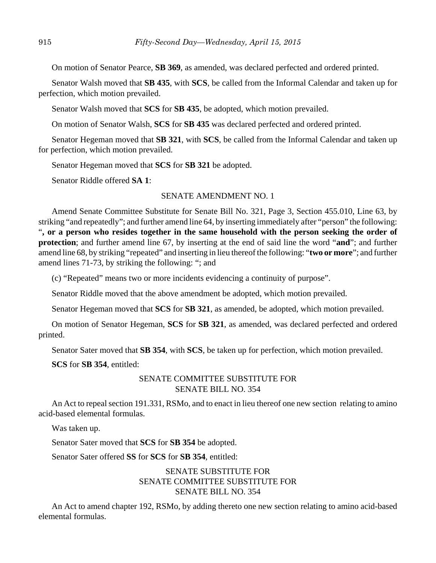On motion of Senator Pearce, **SB 369**, as amended, was declared perfected and ordered printed.

Senator Walsh moved that **SB 435**, with **SCS**, be called from the Informal Calendar and taken up for perfection, which motion prevailed.

Senator Walsh moved that **SCS** for **SB 435**, be adopted, which motion prevailed.

On motion of Senator Walsh, **SCS** for **SB 435** was declared perfected and ordered printed.

Senator Hegeman moved that **SB 321**, with **SCS**, be called from the Informal Calendar and taken up for perfection, which motion prevailed.

Senator Hegeman moved that **SCS** for **SB 321** be adopted.

Senator Riddle offered **SA 1**:

## SENATE AMENDMENT NO. 1

Amend Senate Committee Substitute for Senate Bill No. 321, Page 3, Section 455.010, Line 63, by striking "and repeatedly"; and further amend line 64, by inserting immediately after "person" the following: "**, or a person who resides together in the same household with the person seeking the order of protection**; and further amend line 67, by inserting at the end of said line the word "**and**"; and further amend line 68, by striking "repeated" and inserting in lieu thereof the following: "**two or more**"; and further amend lines 71-73, by striking the following: "; and

(c) "Repeated" means two or more incidents evidencing a continuity of purpose".

Senator Riddle moved that the above amendment be adopted, which motion prevailed.

Senator Hegeman moved that **SCS** for **SB 321**, as amended, be adopted, which motion prevailed.

On motion of Senator Hegeman, **SCS** for **SB 321**, as amended, was declared perfected and ordered printed.

Senator Sater moved that **SB 354**, with **SCS**, be taken up for perfection, which motion prevailed.

**SCS** for **SB 354**, entitled:

## SENATE COMMITTEE SUBSTITUTE FOR SENATE BILL NO. 354

An Act to repeal section 191.331, RSMo, and to enact in lieu thereof one new section relating to amino acid-based elemental formulas.

Was taken up.

Senator Sater moved that **SCS** for **SB 354** be adopted.

Senator Sater offered **SS** for **SCS** for **SB 354**, entitled:

## SENATE SUBSTITUTE FOR SENATE COMMITTEE SUBSTITUTE FOR SENATE BILL NO. 354

An Act to amend chapter 192, RSMo, by adding thereto one new section relating to amino acid-based elemental formulas.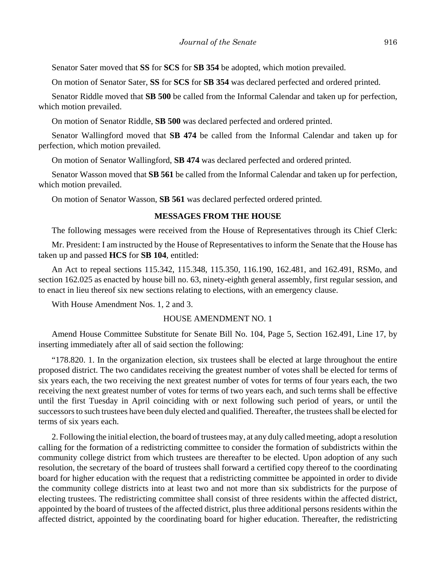Senator Sater moved that **SS** for **SCS** for **SB 354** be adopted, which motion prevailed.

On motion of Senator Sater, **SS** for **SCS** for **SB 354** was declared perfected and ordered printed.

Senator Riddle moved that **SB 500** be called from the Informal Calendar and taken up for perfection, which motion prevailed.

On motion of Senator Riddle, **SB 500** was declared perfected and ordered printed.

Senator Wallingford moved that **SB 474** be called from the Informal Calendar and taken up for perfection, which motion prevailed.

On motion of Senator Wallingford, **SB 474** was declared perfected and ordered printed.

Senator Wasson moved that **SB 561** be called from the Informal Calendar and taken up for perfection, which motion prevailed.

On motion of Senator Wasson, **SB 561** was declared perfected ordered printed.

## **MESSAGES FROM THE HOUSE**

The following messages were received from the House of Representatives through its Chief Clerk:

Mr. President: I am instructed by the House of Representatives to inform the Senate that the House has taken up and passed **HCS** for **SB 104**, entitled:

An Act to repeal sections 115.342, 115.348, 115.350, 116.190, 162.481, and 162.491, RSMo, and section 162.025 as enacted by house bill no. 63, ninety-eighth general assembly, first regular session, and to enact in lieu thereof six new sections relating to elections, with an emergency clause.

With House Amendment Nos. 1, 2 and 3.

#### HOUSE AMENDMENT NO. 1

Amend House Committee Substitute for Senate Bill No. 104, Page 5, Section 162.491, Line 17, by inserting immediately after all of said section the following:

"178.820. 1. In the organization election, six trustees shall be elected at large throughout the entire proposed district. The two candidates receiving the greatest number of votes shall be elected for terms of six years each, the two receiving the next greatest number of votes for terms of four years each, the two receiving the next greatest number of votes for terms of two years each, and such terms shall be effective until the first Tuesday in April coinciding with or next following such period of years, or until the successors to such trustees have been duly elected and qualified. Thereafter, the trustees shall be elected for terms of six years each.

2. Following the initial election, the board of trustees may, at any duly called meeting, adopt a resolution calling for the formation of a redistricting committee to consider the formation of subdistricts within the community college district from which trustees are thereafter to be elected. Upon adoption of any such resolution, the secretary of the board of trustees shall forward a certified copy thereof to the coordinating board for higher education with the request that a redistricting committee be appointed in order to divide the community college districts into at least two and not more than six subdistricts for the purpose of electing trustees. The redistricting committee shall consist of three residents within the affected district, appointed by the board of trustees of the affected district, plus three additional persons residents within the affected district, appointed by the coordinating board for higher education. Thereafter, the redistricting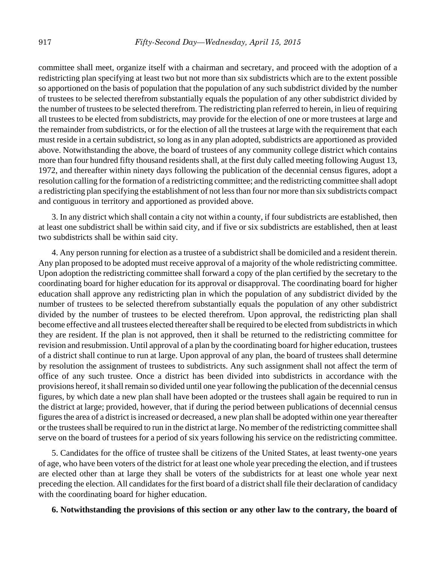committee shall meet, organize itself with a chairman and secretary, and proceed with the adoption of a redistricting plan specifying at least two but not more than six subdistricts which are to the extent possible so apportioned on the basis of population that the population of any such subdistrict divided by the number of trustees to be selected therefrom substantially equals the population of any other subdistrict divided by the number of trustees to be selected therefrom. The redistricting plan referred to herein, in lieu of requiring all trustees to be elected from subdistricts, may provide for the election of one or more trustees at large and the remainder from subdistricts, or for the election of all the trustees at large with the requirement that each must reside in a certain subdistrict, so long as in any plan adopted, subdistricts are apportioned as provided above. Notwithstanding the above, the board of trustees of any community college district which contains more than four hundred fifty thousand residents shall, at the first duly called meeting following August 13, 1972, and thereafter within ninety days following the publication of the decennial census figures, adopt a resolution calling for the formation of a redistricting committee; and the redistricting committee shall adopt a redistricting plan specifying the establishment of not less than four nor more than six subdistricts compact and contiguous in territory and apportioned as provided above.

3. In any district which shall contain a city not within a county, if four subdistricts are established, then at least one subdistrict shall be within said city, and if five or six subdistricts are established, then at least two subdistricts shall be within said city.

4. Any person running for election as a trustee of a subdistrict shall be domiciled and a resident therein. Any plan proposed to be adopted must receive approval of a majority of the whole redistricting committee. Upon adoption the redistricting committee shall forward a copy of the plan certified by the secretary to the coordinating board for higher education for its approval or disapproval. The coordinating board for higher education shall approve any redistricting plan in which the population of any subdistrict divided by the number of trustees to be selected therefrom substantially equals the population of any other subdistrict divided by the number of trustees to be elected therefrom. Upon approval, the redistricting plan shall become effective and all trustees elected thereafter shall be required to be elected from subdistricts in which they are resident. If the plan is not approved, then it shall be returned to the redistricting committee for revision and resubmission. Until approval of a plan by the coordinating board for higher education, trustees of a district shall continue to run at large. Upon approval of any plan, the board of trustees shall determine by resolution the assignment of trustees to subdistricts. Any such assignment shall not affect the term of office of any such trustee. Once a district has been divided into subdistricts in accordance with the provisions hereof, it shall remain so divided until one year following the publication of the decennial census figures, by which date a new plan shall have been adopted or the trustees shall again be required to run in the district at large; provided, however, that if during the period between publications of decennial census figures the area of a district is increased or decreased, a new plan shall be adopted within one year thereafter or the trustees shall be required to run in the district at large. No member of the redistricting committee shall serve on the board of trustees for a period of six years following his service on the redistricting committee.

5. Candidates for the office of trustee shall be citizens of the United States, at least twenty-one years of age, who have been voters of the district for at least one whole year preceding the election, and if trustees are elected other than at large they shall be voters of the subdistricts for at least one whole year next preceding the election. All candidates for the first board of a district shall file their declaration of candidacy with the coordinating board for higher education.

#### **6. Notwithstanding the provisions of this section or any other law to the contrary, the board of**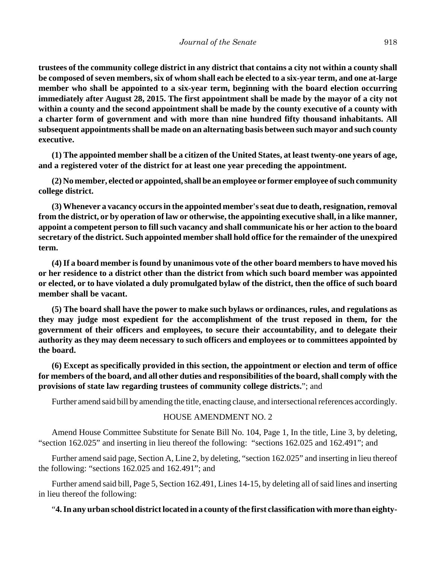**trustees of the community college district in any district that contains a city not within a county shall be composed of seven members, six of whom shall each be elected to a six-year term, and one at-large member who shall be appointed to a six-year term, beginning with the board election occurring immediately after August 28, 2015. The first appointment shall be made by the mayor of a city not within a county and the second appointment shall be made by the county executive of a county with a charter form of government and with more than nine hundred fifty thousand inhabitants. All subsequent appointments shall be made on an alternating basis between such mayor and such county executive.** 

**(1) The appointed member shall be a citizen of the United States, at least twenty-one years of age, and a registered voter of the district for at least one year preceding the appointment.**

**(2) No member, elected or appointed, shall be an employee or former employee of such community college district.** 

**(3) Whenever a vacancy occurs in the appointed member's seat due to death, resignation, removal from the district, or by operation of law or otherwise, the appointing executive shall, in a like manner, appoint a competent person to fill such vacancy and shall communicate his or her action to the board secretary of the district. Such appointed member shall hold office for the remainder of the unexpired term.**

**(4) If a board member is found by unanimous vote of the other board members to have moved his or her residence to a district other than the district from which such board member was appointed or elected, or to have violated a duly promulgated bylaw of the district, then the office of such board member shall be vacant.**

**(5) The board shall have the power to make such bylaws or ordinances, rules, and regulations as they may judge most expedient for the accomplishment of the trust reposed in them, for the government of their officers and employees, to secure their accountability, and to delegate their authority as they may deem necessary to such officers and employees or to committees appointed by the board.**

**(6) Except as specifically provided in this section, the appointment or election and term of office for members of the board, and all other duties and responsibilities of the board, shall comply with the provisions of state law regarding trustees of community college districts.**"; and

Further amend said bill by amending the title, enacting clause, and intersectional references accordingly.

### HOUSE AMENDMENT NO. 2

Amend House Committee Substitute for Senate Bill No. 104, Page 1, In the title, Line 3, by deleting, "section 162.025" and inserting in lieu thereof the following: "sections 162.025 and 162.491"; and

Further amend said page, Section A, Line 2, by deleting, "section 162.025" and inserting in lieu thereof the following: "sections 162.025 and 162.491"; and

Further amend said bill, Page 5, Section 162.491, Lines 14-15, by deleting all of said lines and inserting in lieu thereof the following:

## "**4. In any urban school district located in a county of the first classification with more than eighty-**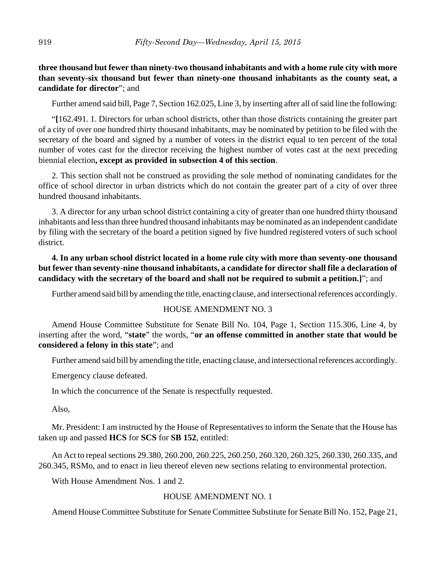## **three thousand but fewer than ninety-two thousand inhabitants and with a home rule city with more than seventy-six thousand but fewer than ninety-one thousand inhabitants as the county seat, a candidate for director**"; and

Further amend said bill, Page 7, Section 162.025, Line 3, by inserting after all of said line the following:

"**[**162.491. 1. Directors for urban school districts, other than those districts containing the greater part of a city of over one hundred thirty thousand inhabitants, may be nominated by petition to be filed with the secretary of the board and signed by a number of voters in the district equal to ten percent of the total number of votes cast for the director receiving the highest number of votes cast at the next preceding biennial election**, except as provided in subsection 4 of this section**.

2. This section shall not be construed as providing the sole method of nominating candidates for the office of school director in urban districts which do not contain the greater part of a city of over three hundred thousand inhabitants.

3. A director for any urban school district containing a city of greater than one hundred thirty thousand inhabitants and less than three hundred thousand inhabitants may be nominated as an independent candidate by filing with the secretary of the board a petition signed by five hundred registered voters of such school district.

## **4. In any urban school district located in a home rule city with more than seventy-one thousand but fewer than seventy-nine thousand inhabitants, a candidate for director shall file a declaration of candidacy with the secretary of the board and shall not be required to submit a petition.]**"; and

Further amend said bill by amending the title, enacting clause, and intersectional references accordingly.

## HOUSE AMENDMENT NO. 3

Amend House Committee Substitute for Senate Bill No. 104, Page 1, Section 115.306, Line 4, by inserting after the word, "**state**" the words, "**or an offense committed in another state that would be considered a felony in this state**"; and

Further amend said bill by amending the title, enacting clause, and intersectional references accordingly.

Emergency clause defeated.

In which the concurrence of the Senate is respectfully requested.

Also,

Mr. President: I am instructed by the House of Representatives to inform the Senate that the House has taken up and passed **HCS** for **SCS** for **SB 152**, entitled:

An Act to repeal sections 29.380, 260.200, 260.225, 260.250, 260.320, 260.325, 260.330, 260.335, and 260.345, RSMo, and to enact in lieu thereof eleven new sections relating to environmental protection.

With House Amendment Nos. 1 and 2.

## HOUSE AMENDMENT NO. 1

Amend House Committee Substitute for Senate Committee Substitute for Senate Bill No. 152, Page 21,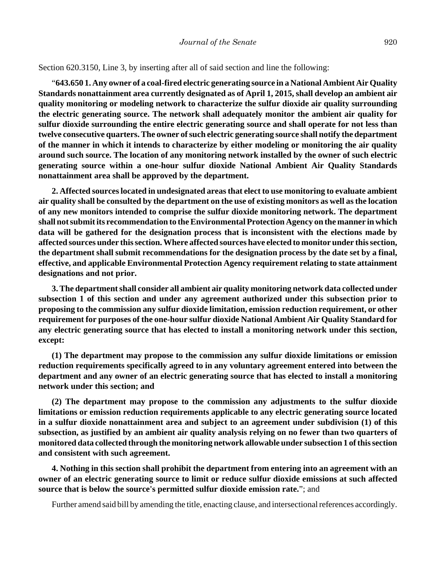Section 620.3150, Line 3, by inserting after all of said section and line the following:

"**643.650 1. Any owner of a coal-fired electric generating source in a National Ambient Air Quality Standards nonattainment area currently designated as of April 1, 2015, shall develop an ambient air quality monitoring or modeling network to characterize the sulfur dioxide air quality surrounding the electric generating source. The network shall adequately monitor the ambient air quality for sulfur dioxide surrounding the entire electric generating source and shall operate for not less than twelve consecutive quarters. The owner of such electric generating source shall notify the department of the manner in which it intends to characterize by either modeling or monitoring the air quality around such source. The location of any monitoring network installed by the owner of such electric generating source within a one-hour sulfur dioxide National Ambient Air Quality Standards nonattainment area shall be approved by the department.**

**2. Affected sources located in undesignated areas that elect to use monitoring to evaluate ambient air quality shall be consulted by the department on the use of existing monitors as well as the location of any new monitors intended to comprise the sulfur dioxide monitoring network. The department shall not submit its recommendation to the Environmental Protection Agency on the manner in which data will be gathered for the designation process that is inconsistent with the elections made by affected sources under this section. Where affected sources have elected to monitor under this section, the department shall submit recommendations for the designation process by the date set by a final, effective, and applicable Environmental Protection Agency requirement relating to state attainment designations and not prior.**

**3. The department shall consider all ambient air quality monitoring network data collected under subsection 1 of this section and under any agreement authorized under this subsection prior to proposing to the commission any sulfur dioxide limitation, emission reduction requirement, or other requirement for purposes of the one-hour sulfur dioxide National Ambient Air Quality Standard for any electric generating source that has elected to install a monitoring network under this section, except:**

**(1) The department may propose to the commission any sulfur dioxide limitations or emission reduction requirements specifically agreed to in any voluntary agreement entered into between the department and any owner of an electric generating source that has elected to install a monitoring network under this section; and**

**(2) The department may propose to the commission any adjustments to the sulfur dioxide limitations or emission reduction requirements applicable to any electric generating source located in a sulfur dioxide nonattainment area and subject to an agreement under subdivision (1) of this subsection, as justified by an ambient air quality analysis relying on no fewer than two quarters of monitored data collected through the monitoring network allowable under subsection 1 of this section and consistent with such agreement.**

**4. Nothing in this section shall prohibit the department from entering into an agreement with an owner of an electric generating source to limit or reduce sulfur dioxide emissions at such affected source that is below the source's permitted sulfur dioxide emission rate.**"; and

Further amend said bill by amending the title, enacting clause, and intersectional references accordingly.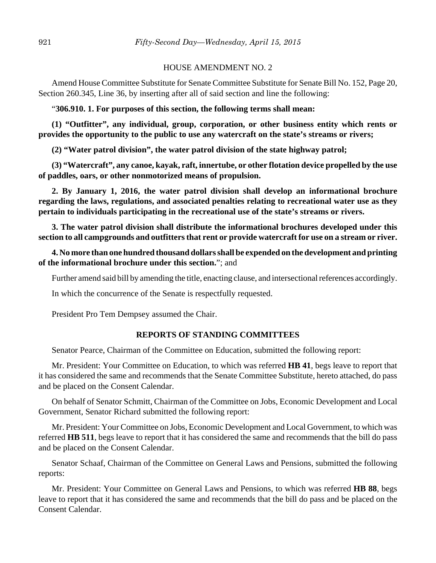## HOUSE AMENDMENT NO. 2

Amend House Committee Substitute for Senate Committee Substitute for Senate Bill No. 152, Page 20, Section 260.345, Line 36, by inserting after all of said section and line the following:

## "**306.910. 1. For purposes of this section, the following terms shall mean:**

**(1) "Outfitter", any individual, group, corporation, or other business entity which rents or provides the opportunity to the public to use any watercraft on the state's streams or rivers;**

**(2) "Water patrol division", the water patrol division of the state highway patrol;**

**(3) "Watercraft", any canoe, kayak, raft, innertube, or other flotation device propelled by the use of paddles, oars, or other nonmotorized means of propulsion.**

**2. By January 1, 2016, the water patrol division shall develop an informational brochure regarding the laws, regulations, and associated penalties relating to recreational water use as they pertain to individuals participating in the recreational use of the state's streams or rivers.**

**3. The water patrol division shall distribute the informational brochures developed under this section to all campgrounds and outfitters that rent or provide watercraft for use on a stream or river.**

**4. No more than one hundred thousand dollars shall be expended on the development and printing of the informational brochure under this section.**"; and

Further amend said bill by amending the title, enacting clause, and intersectional references accordingly.

In which the concurrence of the Senate is respectfully requested.

President Pro Tem Dempsey assumed the Chair.

## **REPORTS OF STANDING COMMITTEES**

Senator Pearce, Chairman of the Committee on Education, submitted the following report:

Mr. President: Your Committee on Education, to which was referred **HB 41**, begs leave to report that it has considered the same and recommends that the Senate Committee Substitute, hereto attached, do pass and be placed on the Consent Calendar.

On behalf of Senator Schmitt, Chairman of the Committee on Jobs, Economic Development and Local Government, Senator Richard submitted the following report:

Mr. President: Your Committee on Jobs, Economic Development and Local Government, to which was referred **HB 511**, begs leave to report that it has considered the same and recommends that the bill do pass and be placed on the Consent Calendar.

Senator Schaaf, Chairman of the Committee on General Laws and Pensions, submitted the following reports:

Mr. President: Your Committee on General Laws and Pensions, to which was referred **HB 88**, begs leave to report that it has considered the same and recommends that the bill do pass and be placed on the Consent Calendar.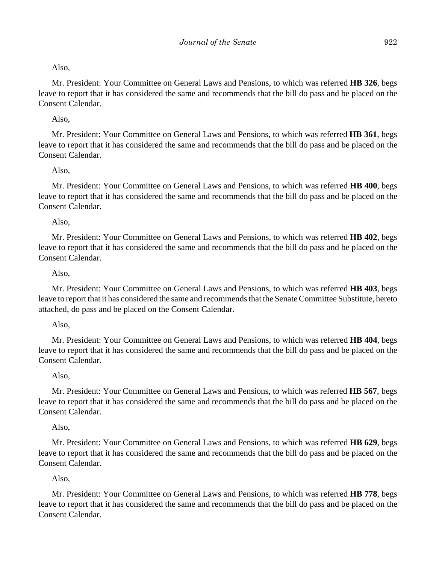Also,

Mr. President: Your Committee on General Laws and Pensions, to which was referred **HB 326**, begs leave to report that it has considered the same and recommends that the bill do pass and be placed on the Consent Calendar.

Also,

Mr. President: Your Committee on General Laws and Pensions, to which was referred **HB 361**, begs leave to report that it has considered the same and recommends that the bill do pass and be placed on the Consent Calendar.

Also,

Mr. President: Your Committee on General Laws and Pensions, to which was referred **HB 400**, begs leave to report that it has considered the same and recommends that the bill do pass and be placed on the Consent Calendar.

Also,

Mr. President: Your Committee on General Laws and Pensions, to which was referred **HB 402**, begs leave to report that it has considered the same and recommends that the bill do pass and be placed on the Consent Calendar.

Also,

Mr. President: Your Committee on General Laws and Pensions, to which was referred **HB 403**, begs leave to report that it has considered the same and recommends that the Senate Committee Substitute, hereto attached, do pass and be placed on the Consent Calendar.

Also,

Mr. President: Your Committee on General Laws and Pensions, to which was referred **HB 404**, begs leave to report that it has considered the same and recommends that the bill do pass and be placed on the Consent Calendar.

Also,

Mr. President: Your Committee on General Laws and Pensions, to which was referred **HB 567**, begs leave to report that it has considered the same and recommends that the bill do pass and be placed on the Consent Calendar.

Also,

Mr. President: Your Committee on General Laws and Pensions, to which was referred **HB 629**, begs leave to report that it has considered the same and recommends that the bill do pass and be placed on the Consent Calendar.

Also,

Mr. President: Your Committee on General Laws and Pensions, to which was referred **HB 778**, begs leave to report that it has considered the same and recommends that the bill do pass and be placed on the Consent Calendar.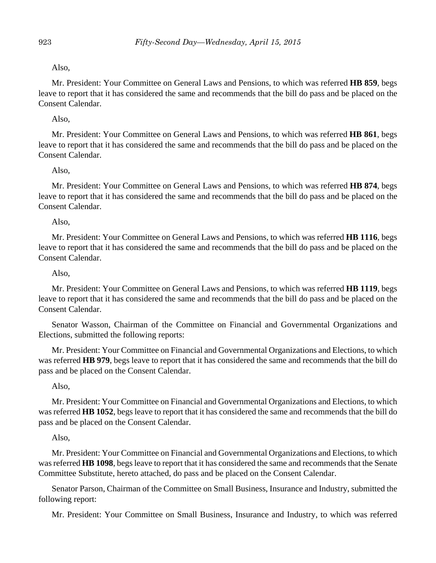## Also,

Mr. President: Your Committee on General Laws and Pensions, to which was referred **HB 859**, begs leave to report that it has considered the same and recommends that the bill do pass and be placed on the Consent Calendar.

## Also,

Mr. President: Your Committee on General Laws and Pensions, to which was referred **HB 861**, begs leave to report that it has considered the same and recommends that the bill do pass and be placed on the Consent Calendar.

## Also,

Mr. President: Your Committee on General Laws and Pensions, to which was referred **HB 874**, begs leave to report that it has considered the same and recommends that the bill do pass and be placed on the Consent Calendar.

## Also,

Mr. President: Your Committee on General Laws and Pensions, to which was referred **HB 1116**, begs leave to report that it has considered the same and recommends that the bill do pass and be placed on the Consent Calendar.

## Also,

Mr. President: Your Committee on General Laws and Pensions, to which was referred **HB 1119**, begs leave to report that it has considered the same and recommends that the bill do pass and be placed on the Consent Calendar.

Senator Wasson, Chairman of the Committee on Financial and Governmental Organizations and Elections, submitted the following reports:

Mr. President: Your Committee on Financial and Governmental Organizations and Elections, to which was referred **HB 979**, begs leave to report that it has considered the same and recommends that the bill do pass and be placed on the Consent Calendar.

## Also,

Mr. President: Your Committee on Financial and Governmental Organizations and Elections, to which was referred **HB 1052**, begs leave to report that it has considered the same and recommends that the bill do pass and be placed on the Consent Calendar.

## Also,

Mr. President: Your Committee on Financial and Governmental Organizations and Elections, to which was referred **HB 1098**, begs leave to report that it has considered the same and recommends that the Senate Committee Substitute, hereto attached, do pass and be placed on the Consent Calendar.

Senator Parson, Chairman of the Committee on Small Business, Insurance and Industry, submitted the following report:

Mr. President: Your Committee on Small Business, Insurance and Industry, to which was referred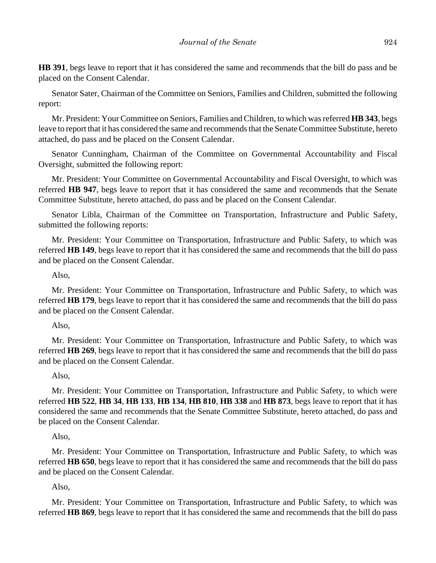**HB 391**, begs leave to report that it has considered the same and recommends that the bill do pass and be placed on the Consent Calendar.

Senator Sater, Chairman of the Committee on Seniors, Families and Children, submitted the following report:

Mr. President: Your Committee on Seniors, Families and Children, to which was referred **HB 343**, begs leave to report that it has considered the same and recommends that the Senate Committee Substitute, hereto attached, do pass and be placed on the Consent Calendar.

Senator Cunningham, Chairman of the Committee on Governmental Accountability and Fiscal Oversight, submitted the following report:

Mr. President: Your Committee on Governmental Accountability and Fiscal Oversight, to which was referred **HB 947**, begs leave to report that it has considered the same and recommends that the Senate Committee Substitute, hereto attached, do pass and be placed on the Consent Calendar.

Senator Libla, Chairman of the Committee on Transportation, Infrastructure and Public Safety, submitted the following reports:

Mr. President: Your Committee on Transportation, Infrastructure and Public Safety, to which was referred **HB 149**, begs leave to report that it has considered the same and recommends that the bill do pass and be placed on the Consent Calendar.

## Also,

Mr. President: Your Committee on Transportation, Infrastructure and Public Safety, to which was referred **HB 179**, begs leave to report that it has considered the same and recommends that the bill do pass and be placed on the Consent Calendar.

### Also,

Mr. President: Your Committee on Transportation, Infrastructure and Public Safety, to which was referred **HB 269**, begs leave to report that it has considered the same and recommends that the bill do pass and be placed on the Consent Calendar.

### Also,

Mr. President: Your Committee on Transportation, Infrastructure and Public Safety, to which were referred **HB 522**, **HB 34**, **HB 133**, **HB 134**, **HB 810**, **HB 338** and **HB 873**, begs leave to report that it has considered the same and recommends that the Senate Committee Substitute, hereto attached, do pass and be placed on the Consent Calendar.

### Also,

Mr. President: Your Committee on Transportation, Infrastructure and Public Safety, to which was referred **HB 650**, begs leave to report that it has considered the same and recommends that the bill do pass and be placed on the Consent Calendar.

## Also,

Mr. President: Your Committee on Transportation, Infrastructure and Public Safety, to which was referred **HB 869**, begs leave to report that it has considered the same and recommends that the bill do pass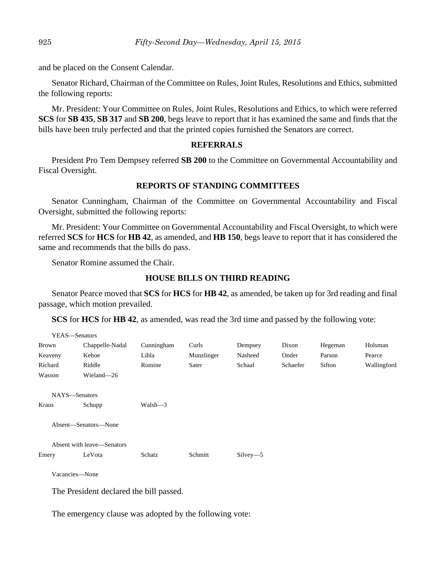and be placed on the Consent Calendar.

Senator Richard, Chairman of the Committee on Rules, Joint Rules, Resolutions and Ethics, submitted the following reports:

Mr. President: Your Committee on Rules, Joint Rules, Resolutions and Ethics, to which were referred **SCS** for **SB 435**, **SB 317** and **SB 200**, begs leave to report that it has examined the same and finds that the bills have been truly perfected and that the printed copies furnished the Senators are correct.

## **REFERRALS**

President Pro Tem Dempsey referred **SB 200** to the Committee on Governmental Accountability and Fiscal Oversight.

## **REPORTS OF STANDING COMMITTEES**

Senator Cunningham, Chairman of the Committee on Governmental Accountability and Fiscal Oversight, submitted the following reports:

Mr. President: Your Committee on Governmental Accountability and Fiscal Oversight, to which were referred **SCS** for **HCS** for **HB 42**, as amended, and **HB 150**, begs leave to report that it has considered the same and recommends that the bills do pass.

Senator Romine assumed the Chair.

## **HOUSE BILLS ON THIRD READING**

Senator Pearce moved that **SCS** for **HCS** for **HB 42**, as amended, be taken up for 3rd reading and final passage, which motion prevailed.

**SCS** for **HCS** for **HB 42**, as amended, was read the 3rd time and passed by the following vote:

| YEAS-Senators              |                      |            |            |            |          |         |             |
|----------------------------|----------------------|------------|------------|------------|----------|---------|-------------|
| Brown                      | Chappelle-Nadal      | Cunningham | Curls      | Dempsey    | Dixon    | Hegeman | Holsman     |
| Keaveny                    | Kehoe                | Libla      | Munzlinger | Nasheed    | Onder    | Parson  | Pearce      |
| Richard                    | Riddle               | Romine     | Sater      | Schaaf     | Schaefer | Sifton  | Wallingford |
| Wasson                     | Wieland-26           |            |            |            |          |         |             |
| NAYS-Senators              |                      |            |            |            |          |         |             |
| Kraus                      | Schupp               | Walsh-3    |            |            |          |         |             |
|                            | Absent-Senators-None |            |            |            |          |         |             |
| Absent with leave—Senators |                      |            |            |            |          |         |             |
| Emery                      | LeVota               | Schatz     | Schmitt    | $Silvey-5$ |          |         |             |
| Vacancies-None             |                      |            |            |            |          |         |             |
|                            |                      |            |            |            |          |         |             |

The President declared the bill passed.

The emergency clause was adopted by the following vote: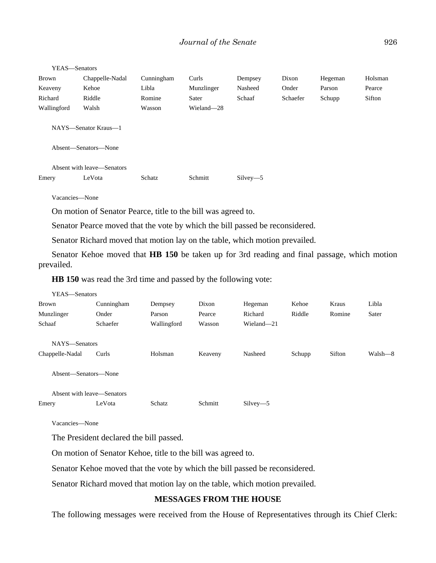| YEAS-Senators                                |                            |            |            |            |          |         |         |
|----------------------------------------------|----------------------------|------------|------------|------------|----------|---------|---------|
| <b>Brown</b>                                 | Chappelle-Nadal            | Cunningham | Curls      | Dempsey    | Dixon    | Hegeman | Holsman |
| Keaveny                                      | Kehoe                      | Libla      | Munzlinger | Nasheed    | Onder    | Parson  | Pearce  |
| Richard                                      | Riddle                     | Romine     | Sater      | Schaaf     | Schaefer | Schupp  | Sifton  |
| Wallingford                                  | Walsh                      | Wasson     | Wieland-28 |            |          |         |         |
| NAYS—Senator Kraus—1<br>Absent—Senators—None |                            |            |            |            |          |         |         |
|                                              | Absent with leave—Senators |            |            |            |          |         |         |
| Emery                                        | LeVota                     | Schatz     | Schmitt    | $Silvev-5$ |          |         |         |

Vacancies—None

On motion of Senator Pearce, title to the bill was agreed to.

Senator Pearce moved that the vote by which the bill passed be reconsidered.

Senator Richard moved that motion lay on the table, which motion prevailed.

Senator Kehoe moved that **HB 150** be taken up for 3rd reading and final passage, which motion prevailed.

**HB 150** was read the 3rd time and passed by the following vote:

| YEAS—Senators              |            |             |         |            |        |        |         |
|----------------------------|------------|-------------|---------|------------|--------|--------|---------|
| Brown                      | Cunningham | Dempsey     | Dixon   | Hegeman    | Kehoe  | Kraus  | Libla   |
| Munzlinger                 | Onder      | Parson      | Pearce  | Richard    | Riddle | Romine | Sater   |
| Schaaf                     | Schaefer   | Wallingford | Wasson  | Wieland-21 |        |        |         |
|                            |            |             |         |            |        |        |         |
| NAYS-Senators              |            |             |         |            |        |        |         |
| Chappelle-Nadal            | Curls      | Holsman     | Keaveny | Nasheed    | Schupp | Sifton | Walsh—8 |
|                            |            |             |         |            |        |        |         |
| Absent—Senators—None       |            |             |         |            |        |        |         |
|                            |            |             |         |            |        |        |         |
| Absent with leave—Senators |            |             |         |            |        |        |         |
| Emery                      | LeVota     | Schatz      | Schmitt | $Silvey-5$ |        |        |         |
|                            |            |             |         |            |        |        |         |

Vacancies—None

The President declared the bill passed.

On motion of Senator Kehoe, title to the bill was agreed to.

Senator Kehoe moved that the vote by which the bill passed be reconsidered.

Senator Richard moved that motion lay on the table, which motion prevailed.

## **MESSAGES FROM THE HOUSE**

The following messages were received from the House of Representatives through its Chief Clerk: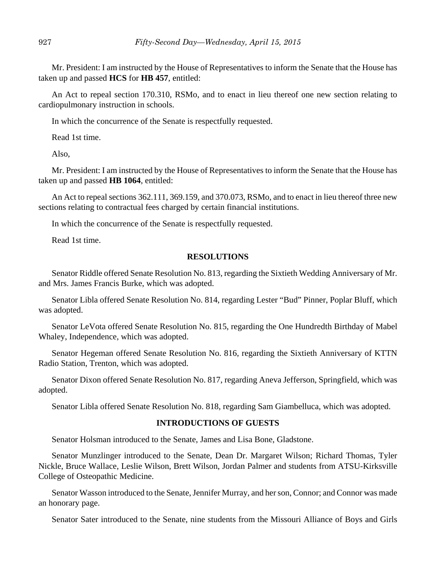Mr. President: I am instructed by the House of Representatives to inform the Senate that the House has taken up and passed **HCS** for **HB 457**, entitled:

An Act to repeal section 170.310, RSMo, and to enact in lieu thereof one new section relating to cardiopulmonary instruction in schools.

In which the concurrence of the Senate is respectfully requested.

Read 1st time.

Also,

Mr. President: I am instructed by the House of Representatives to inform the Senate that the House has taken up and passed **HB 1064**, entitled:

An Act to repeal sections 362.111, 369.159, and 370.073, RSMo, and to enact in lieu thereof three new sections relating to contractual fees charged by certain financial institutions.

In which the concurrence of the Senate is respectfully requested.

Read 1st time.

#### **RESOLUTIONS**

Senator Riddle offered Senate Resolution No. 813, regarding the Sixtieth Wedding Anniversary of Mr. and Mrs. James Francis Burke, which was adopted.

Senator Libla offered Senate Resolution No. 814, regarding Lester "Bud" Pinner, Poplar Bluff, which was adopted.

Senator LeVota offered Senate Resolution No. 815, regarding the One Hundredth Birthday of Mabel Whaley, Independence, which was adopted.

Senator Hegeman offered Senate Resolution No. 816, regarding the Sixtieth Anniversary of KTTN Radio Station, Trenton, which was adopted.

Senator Dixon offered Senate Resolution No. 817, regarding Aneva Jefferson, Springfield, which was adopted.

Senator Libla offered Senate Resolution No. 818, regarding Sam Giambelluca, which was adopted.

#### **INTRODUCTIONS OF GUESTS**

Senator Holsman introduced to the Senate, James and Lisa Bone, Gladstone.

Senator Munzlinger introduced to the Senate, Dean Dr. Margaret Wilson; Richard Thomas, Tyler Nickle, Bruce Wallace, Leslie Wilson, Brett Wilson, Jordan Palmer and students from ATSU-Kirksville College of Osteopathic Medicine.

Senator Wasson introduced to the Senate, Jennifer Murray, and her son, Connor; and Connor was made an honorary page.

Senator Sater introduced to the Senate, nine students from the Missouri Alliance of Boys and Girls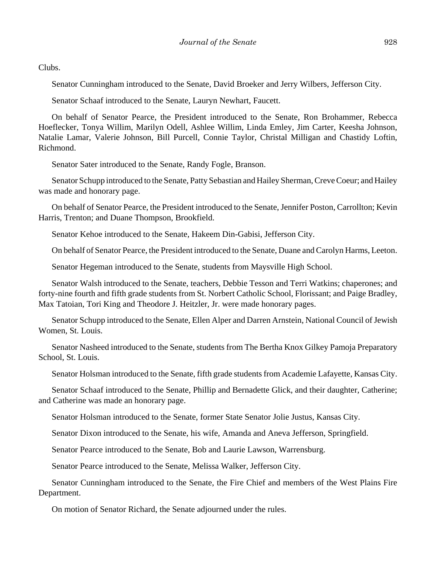Clubs.

Senator Cunningham introduced to the Senate, David Broeker and Jerry Wilbers, Jefferson City.

Senator Schaaf introduced to the Senate, Lauryn Newhart, Faucett.

On behalf of Senator Pearce, the President introduced to the Senate, Ron Brohammer, Rebecca Hoeflecker, Tonya Willim, Marilyn Odell, Ashlee Willim, Linda Emley, Jim Carter, Keesha Johnson, Natalie Lamar, Valerie Johnson, Bill Purcell, Connie Taylor, Christal Milligan and Chastidy Loftin, Richmond.

Senator Sater introduced to the Senate, Randy Fogle, Branson.

Senator Schupp introduced to the Senate, Patty Sebastian and Hailey Sherman, Creve Coeur; and Hailey was made and honorary page.

On behalf of Senator Pearce, the President introduced to the Senate, Jennifer Poston, Carrollton; Kevin Harris, Trenton; and Duane Thompson, Brookfield.

Senator Kehoe introduced to the Senate, Hakeem Din-Gabisi, Jefferson City.

On behalf of Senator Pearce, the President introduced to the Senate, Duane and Carolyn Harms, Leeton.

Senator Hegeman introduced to the Senate, students from Maysville High School.

Senator Walsh introduced to the Senate, teachers, Debbie Tesson and Terri Watkins; chaperones; and forty-nine fourth and fifth grade students from St. Norbert Catholic School, Florissant; and Paige Bradley, Max Tatoian, Tori King and Theodore J. Heitzler, Jr. were made honorary pages.

Senator Schupp introduced to the Senate, Ellen Alper and Darren Arnstein, National Council of Jewish Women, St. Louis.

Senator Nasheed introduced to the Senate, students from The Bertha Knox Gilkey Pamoja Preparatory School, St. Louis.

Senator Holsman introduced to the Senate, fifth grade students from Academie Lafayette, Kansas City.

Senator Schaaf introduced to the Senate, Phillip and Bernadette Glick, and their daughter, Catherine; and Catherine was made an honorary page.

Senator Holsman introduced to the Senate, former State Senator Jolie Justus, Kansas City.

Senator Dixon introduced to the Senate, his wife, Amanda and Aneva Jefferson, Springfield.

Senator Pearce introduced to the Senate, Bob and Laurie Lawson, Warrensburg.

Senator Pearce introduced to the Senate, Melissa Walker, Jefferson City.

Senator Cunningham introduced to the Senate, the Fire Chief and members of the West Plains Fire Department.

On motion of Senator Richard, the Senate adjourned under the rules.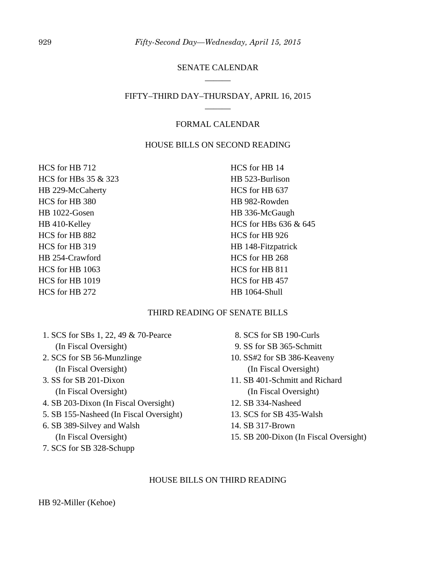## SENATE CALENDAR \_\_\_\_\_\_

## FIFTY–THIRD DAY–THURSDAY, APRIL 16, 2015 \_\_\_\_\_\_

## FORMAL CALENDAR

## HOUSE BILLS ON SECOND READING

HCS for HB 712 HCS for HBs 35 & 323 HB 229-McCaherty HCS for HB 380 HB 1022-Gosen HB 410-Kelley HCS for HB 882 HCS for HB 319 HB 254-Crawford HCS for HB 1063 HCS for HB 1019 HCS for HB 272

HCS for HB 14 HB 523-Burlison HCS for HB 637 HB 982-Rowden HB 336-McGaugh HCS for HBs 636 & 645 HCS for HB 926 HB 148-Fitzpatrick HCS for HB 268 HCS for HB 811 HCS for HB 457 HB 1064-Shull

## THIRD READING OF SENATE BILLS

- 1. SCS for SBs 1, 22, 49 & 70-Pearce (In Fiscal Oversight)
- 2. SCS for SB 56-Munzlinge (In Fiscal Oversight)
- 3. SS for SB 201-Dixon (In Fiscal Oversight)
- 4. SB 203-Dixon (In Fiscal Oversight)
- 5. SB 155-Nasheed (In Fiscal Oversight)
- 6. SB 389-Silvey and Walsh (In Fiscal Oversight)
- 7. SCS for SB 328-Schupp
- 8. SCS for SB 190-Curls
- 9. SS for SB 365-Schmitt
- 10. SS#2 for SB 386-Keaveny (In Fiscal Oversight)
- 11. SB 401-Schmitt and Richard (In Fiscal Oversight)
- 12. SB 334-Nasheed
- 13. SCS for SB 435-Walsh
- 14. SB 317-Brown
- 15. SB 200-Dixon (In Fiscal Oversight)

### HOUSE BILLS ON THIRD READING

HB 92-Miller (Kehoe)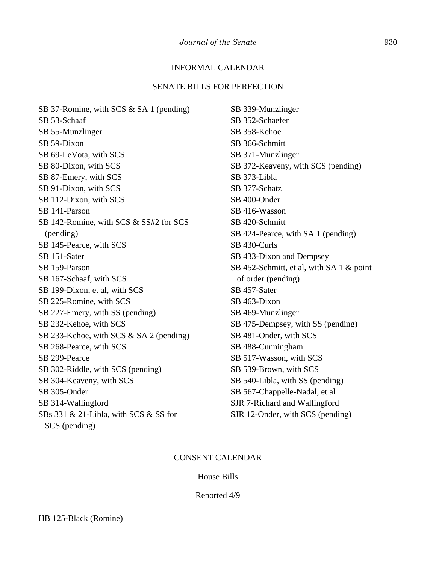## INFORMAL CALENDAR

## SENATE BILLS FOR PERFECTION

SB 37-Romine, with SCS & SA 1 (pending) SB 53-Schaaf SB 55-Munzlinger SB 59-Dixon SB 69-LeVota, with SCS SB 80-Dixon, with SCS SB 87-Emery, with SCS SB 91-Dixon, with SCS SB 112-Dixon, with SCS SB 141-Parson SB 142-Romine, with SCS & SS#2 for SCS (pending) SB 145-Pearce, with SCS SB 151-Sater SB 159-Parson SB 167-Schaaf, with SCS SB 199-Dixon, et al, with SCS SB 225-Romine, with SCS SB 227-Emery, with SS (pending) SB 232-Kehoe, with SCS SB 233-Kehoe, with SCS & SA 2 (pending) SB 268-Pearce, with SCS SB 299-Pearce SB 302-Riddle, with SCS (pending) SB 304-Keaveny, with SCS SB 305-Onder SB 314-Wallingford SBs 331 & 21-Libla, with SCS & SS for SCS (pending)

SB 339-Munzlinger SB 352-Schaefer SB 358-Kehoe SB 366-Schmitt SB 371-Munzlinger SB 372-Keaveny, with SCS (pending) SB 373-Libla SB 377-Schatz SB 400-Onder SB 416-Wasson SB 420-Schmitt SB 424-Pearce, with SA 1 (pending) SB 430-Curls SB 433-Dixon and Dempsey SB 452-Schmitt, et al, with SA 1 & point of order (pending) SB 457-Sater SB 463-Dixon SB 469-Munzlinger SB 475-Dempsey, with SS (pending) SB 481-Onder, with SCS SB 488-Cunningham SB 517-Wasson, with SCS SB 539-Brown, with SCS SB 540-Libla, with SS (pending) SB 567-Chappelle-Nadal, et al SJR 7-Richard and Wallingford SJR 12-Onder, with SCS (pending)

#### CONSENT CALENDAR

#### House Bills

#### Reported 4/9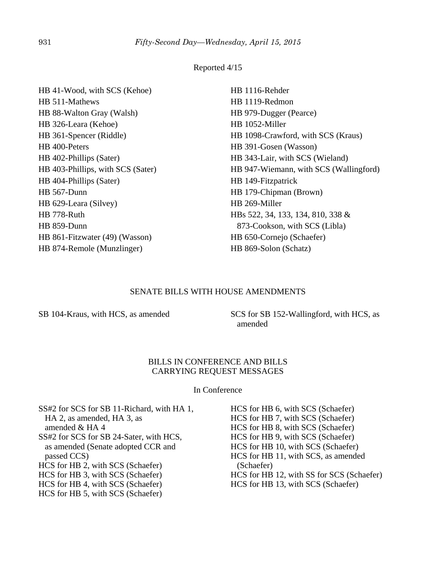## Reported 4/15

| HB 41-Wood, with SCS (Kehoe)      | HB 1116-Rehder                         |
|-----------------------------------|----------------------------------------|
| HB 511-Mathews                    | HB 1119-Redmon                         |
| HB 88-Walton Gray (Walsh)         | HB 979-Dugger (Pearce)                 |
| HB 326-Leara (Kehoe)              | HB 1052-Miller                         |
| HB 361-Spencer (Riddle)           | HB 1098-Crawford, with SCS (Kraus)     |
| HB 400-Peters                     | HB 391-Gosen (Wasson)                  |
| HB 402-Phillips (Sater)           | HB 343-Lair, with SCS (Wieland)        |
| HB 403-Phillips, with SCS (Sater) | HB 947-Wiemann, with SCS (Wallingford) |
| HB 404-Phillips (Sater)           | HB 149-Fitzpatrick                     |
| HB 567-Dunn                       | HB 179-Chipman (Brown)                 |
| HB 629-Leara (Silvey)             | HB 269-Miller                          |
| HB 778-Ruth                       | HBs 522, 34, 133, 134, 810, 338 &      |
| HB 859-Dunn                       | 873-Cookson, with SCS (Libla)          |
| HB 861-Fitzwater (49) (Wasson)    | HB 650-Cornejo (Schaefer)              |
| HB 874-Remole (Munzlinger)        | HB 869-Solon (Schatz)                  |

### SENATE BILLS WITH HOUSE AMENDMENTS

SB 104-Kraus, with HCS, as amended SCS for SB 152-Wallingford, with HCS, as amended

#### BILLS IN CONFERENCE AND BILLS CARRYING REQUEST MESSAGES

#### In Conference

SS#2 for SCS for SB 11-Richard, with HA 1, HA 2, as amended, HA 3, as amended & HA 4 SS#2 for SCS for SB 24-Sater, with HCS, as amended (Senate adopted CCR and passed CCS) HCS for HB 2, with SCS (Schaefer) HCS for HB 3, with SCS (Schaefer) HCS for HB 4, with SCS (Schaefer) HCS for HB 5, with SCS (Schaefer)

HCS for HB 6, with SCS (Schaefer) HCS for HB 7, with SCS (Schaefer) HCS for HB 8, with SCS (Schaefer) HCS for HB 9, with SCS (Schaefer) HCS for HB 10, with SCS (Schaefer) HCS for HB 11, with SCS, as amended (Schaefer) HCS for HB 12, with SS for SCS (Schaefer) HCS for HB 13, with SCS (Schaefer)